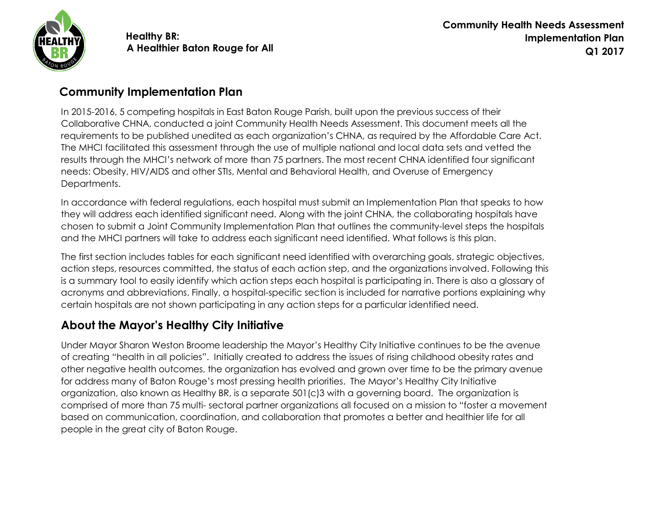

# **Community Implementation Plan**

In 2015-2016, 5 competing hospitals in East Baton Rouge Parish, built upon the previous success of their Collaborative CHNA, conducted a joint Community Health Needs Assessment. This document meets all the requirements to be published unedited as each organization's CHNA, as required by the Affordable Care Act. The MHCI facilitated this assessment through the use of multiple national and local data sets and vetted the results through the MHCI's network of more than 75 partners. The most recent CHNA identified four significant needs: Obesity, HIV/AIDS and other STIs, Mental and Behavioral Health, and Overuse of Emergency Departments.

In accordance with federal regulations, each hospital must submit an Implementation Plan that speaks to how they will address each identified significant need. Along with the joint CHNA, the collaborating hospitals have chosen to submit a Joint Community Implementation Plan that outlines the community-level steps the hospitals and the MHCI partners will take to address each significant need identified. What follows is this plan.

The first section includes tables for each significant need identified with overarching goals, strategic objectives, action steps, resources committed, the status of each action step, and the organizations involved. Following this is a summary tool to easily identify which action steps each hospital is participating in. There is also a glossary of acronyms and abbreviations. Finally, a hospital-specific section is included for narrative portions explaining why certain hospitals are not shown participating in any action steps for a particular identified need.

# **About the Mayor's Healthy City Initiative**

Under Mayor Sharon Weston Broome leadership the Mayor's Healthy City Initiative continues to be the avenue of creating "health in all policies". Initially created to address the issues of rising childhood obesity rates and other negative health outcomes, the organization has evolved and grown over time to be the primary avenue for address many of Baton Rouge's most pressing health priorities. The Mayor's Healthy City Initiative organization, also known as Healthy BR, is a separate 501(c)3 with a governing board. The organization is comprised of more than 75 multi- sectoral partner organizations all focused on a mission to "foster a movement based on communication, coordination, and collaboration that promotes a better and healthier life for all people in the great city of Baton Rouge.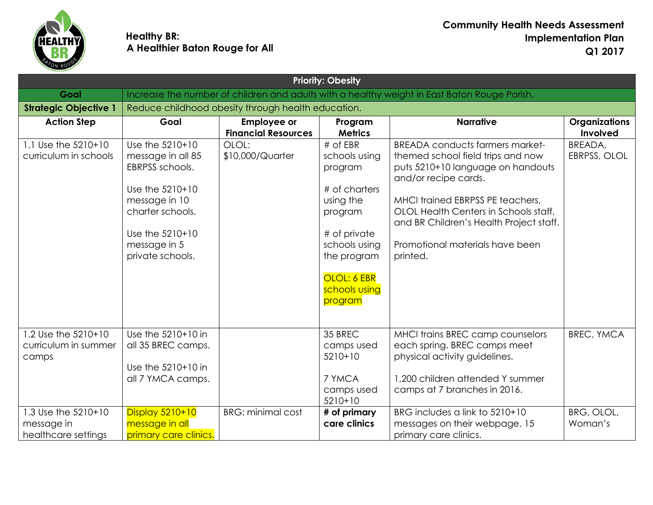

| <b>Priority: Obesity</b>                                 |                                                                                                                                                                        |                                                    |                                                                                                                                                                          |                                                                                                                                                                                                                                                                                                                 |                                  |  |  |  |
|----------------------------------------------------------|------------------------------------------------------------------------------------------------------------------------------------------------------------------------|----------------------------------------------------|--------------------------------------------------------------------------------------------------------------------------------------------------------------------------|-----------------------------------------------------------------------------------------------------------------------------------------------------------------------------------------------------------------------------------------------------------------------------------------------------------------|----------------------------------|--|--|--|
| Goal                                                     |                                                                                                                                                                        |                                                    |                                                                                                                                                                          | Increase the number of children and adults with a healthy weight in East Baton Rouge Parish.                                                                                                                                                                                                                    |                                  |  |  |  |
| <b>Strategic Objective 1</b>                             |                                                                                                                                                                        | Reduce childhood obesity through health education. |                                                                                                                                                                          |                                                                                                                                                                                                                                                                                                                 |                                  |  |  |  |
| <b>Action Step</b>                                       | Goal                                                                                                                                                                   | <b>Employee or</b><br><b>Financial Resources</b>   | Program<br><b>Metrics</b>                                                                                                                                                | <b>Narrative</b>                                                                                                                                                                                                                                                                                                | <b>Organizations</b><br>Involved |  |  |  |
| 1.1 Use the 5210+10<br>curriculum in schools             | Use the 5210+10<br>message in all 85<br>EBRPSS schools.<br>Use the 5210+10<br>message in 10<br>charter schools.<br>Use the 5210+10<br>message in 5<br>private schools. | OLOL:<br>\$10,000/Quarter                          | # of EBR<br>schools using<br>program<br># of charters<br>using the<br>program<br># of private<br>schools using<br>the program<br>OLOL: 6 EBR<br>schools using<br>program | <b>BREADA</b> conducts farmers market-<br>themed school field trips and now<br>puts 5210+10 language on handouts<br>and/or recipe cards.<br>MHCI trained EBRPSS PE teachers,<br>OLOL Health Centers in Schools staff,<br>and BR Children's Health Project staff.<br>Promotional materials have been<br>printed. | BREADA,<br>EBRPSS, OLOL          |  |  |  |
| 1.2 Use the 5210+10<br>curriculum in summer<br>camps     | Use the 5210+10 in<br>all 35 BREC camps.<br>Use the 5210+10 in<br>all 7 YMCA camps.                                                                                    |                                                    | 35 BREC<br>camps used<br>$5210+10$<br>7 YMCA<br>camps used<br>$5210+10$                                                                                                  | MHCI trains BREC camp counselors<br>each spring. BREC camps meet<br>physical activity guidelines.<br>1,200 children attended Y summer<br>camps at 7 branches in 2016.                                                                                                                                           | <b>BREC, YMCA</b>                |  |  |  |
| 1.3 Use the 5210+10<br>message in<br>healthcare settings | Display 5210+10<br>message in all<br>primary care clinics.                                                                                                             | <b>BRG: minimal cost</b>                           | # of primary<br>care clinics                                                                                                                                             | BRG includes a link to 5210+10<br>messages on their webpage. 15<br>primary care clinics.                                                                                                                                                                                                                        | BRG, OLOL,<br>Woman's            |  |  |  |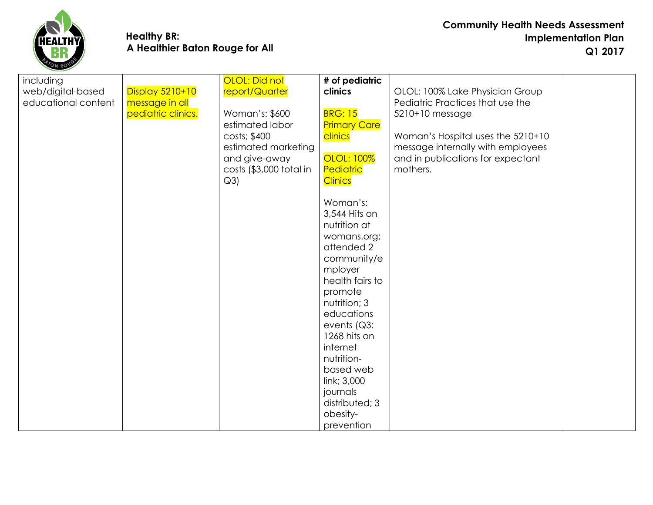

| including<br>web/digital-based<br>educational content | Display 5210+10<br>message in all<br>pediatric clinics. | OLOL: Did not<br>report/Quarter<br>Woman's: \$600<br>estimated labor<br>costs; \$400<br>estimated marketing<br>and give-away<br>costs (\$3,000 total in<br>Q3 | # of pediatric<br>clinics<br><b>BRG: 15</b><br><b>Primary Care</b><br>clinics<br><b>OLOL: 100%</b><br><b>Pediatric</b><br><b>Clinics</b>                                                                                                                                                                      | OLOL: 100% Lake Physician Group<br>Pediatric Practices that use the<br>$5210+10$ message<br>Woman's Hospital uses the 5210+10<br>message internally with employees<br>and in publications for expectant<br>mothers. |  |
|-------------------------------------------------------|---------------------------------------------------------|---------------------------------------------------------------------------------------------------------------------------------------------------------------|---------------------------------------------------------------------------------------------------------------------------------------------------------------------------------------------------------------------------------------------------------------------------------------------------------------|---------------------------------------------------------------------------------------------------------------------------------------------------------------------------------------------------------------------|--|
|                                                       |                                                         |                                                                                                                                                               | Woman's:<br>3,544 Hits on<br>nutrition at<br>womans.org;<br>attended 2<br>community/e<br>mployer<br>health fairs to<br>promote<br>nutrition; 3<br>educations<br>events $(Q3)$ :<br>1268 hits on<br>internet<br>nutrition-<br>based web<br>link; 3,000<br>journals<br>distributed; 3<br>obesity-<br>prevention |                                                                                                                                                                                                                     |  |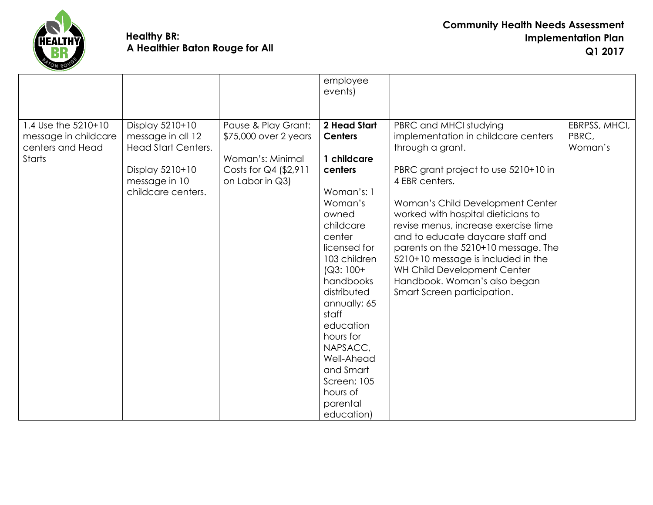

|                                                                           |                                                                                                                              |                                                                                                                | employee<br>events)                                                                                                                                                                                                                                                                                                                               |                                                                                                                                                                                                                                                                                                                                                                                                                                                                              |                                   |
|---------------------------------------------------------------------------|------------------------------------------------------------------------------------------------------------------------------|----------------------------------------------------------------------------------------------------------------|---------------------------------------------------------------------------------------------------------------------------------------------------------------------------------------------------------------------------------------------------------------------------------------------------------------------------------------------------|------------------------------------------------------------------------------------------------------------------------------------------------------------------------------------------------------------------------------------------------------------------------------------------------------------------------------------------------------------------------------------------------------------------------------------------------------------------------------|-----------------------------------|
| 1.4 Use the 5210+10<br>message in childcare<br>centers and Head<br>Starts | Display 5210+10<br>message in all 12<br><b>Head Start Centers.</b><br>Display 5210+10<br>message in 10<br>childcare centers. | Pause & Play Grant:<br>\$75,000 over 2 years<br>Woman's: Minimal<br>Costs for $Q4$ (\$2,911<br>on Labor in Q3) | 2 Head Start<br><b>Centers</b><br>1 childcare<br>centers<br>Woman's: 1<br>Woman's<br>owned<br>childcare<br>center<br>licensed for<br>103 children<br>$(Q3:100+$<br>handbooks<br>distributed<br>annually; 65<br>staff<br>education<br>hours for<br>NAPSACC,<br>Well-Ahead<br>and Smart<br><b>Screen; 105</b><br>hours of<br>parental<br>education) | PBRC and MHCI studying<br>implementation in childcare centers<br>through a grant.<br>PBRC grant project to use 5210+10 in<br>4 EBR centers.<br>Woman's Child Development Center<br>worked with hospital dieticians to<br>revise menus, increase exercise time<br>and to educate daycare staff and<br>parents on the 5210+10 message. The<br>5210+10 message is included in the<br>WH Child Development Center<br>Handbook. Woman's also began<br>Smart Screen participation. | EBRPSS, MHCI,<br>PBRC,<br>Woman's |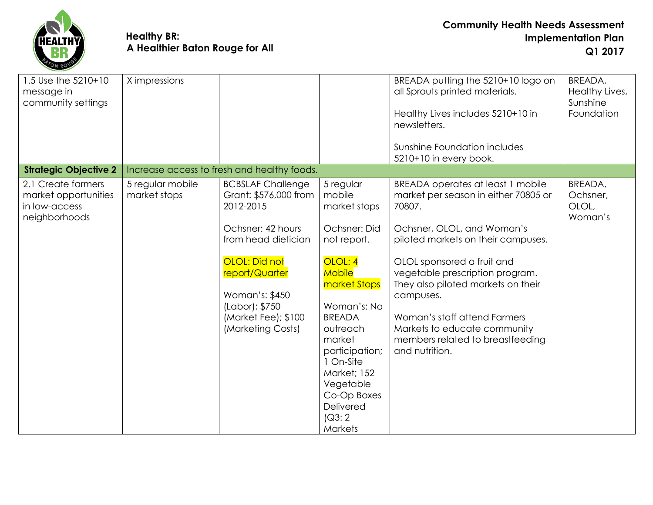

| 1.5 Use the 5210+10<br>message in<br>community settings                      | X impressions                    |                                                                                                                 |                                                                                                                                                                                                  | BREADA putting the 5210+10 logo on<br>all Sprouts printed materials.<br>Healthy Lives includes 5210+10 in<br>newsletters.<br>Sunshine Foundation includes<br>5210+10 in every book.                                                    | BREADA,<br>Healthy Lives,<br>Sunshine<br>Foundation |
|------------------------------------------------------------------------------|----------------------------------|-----------------------------------------------------------------------------------------------------------------|--------------------------------------------------------------------------------------------------------------------------------------------------------------------------------------------------|----------------------------------------------------------------------------------------------------------------------------------------------------------------------------------------------------------------------------------------|-----------------------------------------------------|
| <b>Strategic Objective 2</b>                                                 |                                  | Increase access to fresh and healthy foods.                                                                     |                                                                                                                                                                                                  |                                                                                                                                                                                                                                        |                                                     |
| 2.1 Create farmers<br>market opportunities<br>in low-access<br>neighborhoods | 5 regular mobile<br>market stops | <b>BCBSLAF Challenge</b><br>Grant: \$576,000 from<br>2012-2015<br>Ochsner: 42 hours                             | 5 regular<br>mobile<br>market stops<br>Ochsner: Did                                                                                                                                              | BREADA operates at least 1 mobile<br>market per season in either 70805 or<br>70807.<br>Ochsner, OLOL, and Woman's                                                                                                                      | BREADA,<br>Ochsner,<br>OLOL,<br>Woman's             |
|                                                                              |                                  | from head dietician                                                                                             | not report.                                                                                                                                                                                      | piloted markets on their campuses.                                                                                                                                                                                                     |                                                     |
|                                                                              |                                  | OLOL: Did not<br>report/Quarter<br>Woman's: \$450<br>(Labor); \$750<br>(Market Fee); \$100<br>(Marketing Costs) | OLOL: 4<br>Mobile<br>market Stops<br>Woman's: No<br><b>BREADA</b><br>outreach<br>market<br>participation;<br>1 On-Site<br><b>Market</b> ; 152<br>Vegetable<br>Co-Op Boxes<br>Delivered<br>(Q3:2) | OLOL sponsored a fruit and<br>vegetable prescription program.<br>They also piloted markets on their<br>campuses.<br>Woman's staff attend Farmers<br>Markets to educate community<br>members related to breastfeeding<br>and nutrition. |                                                     |
|                                                                              |                                  |                                                                                                                 | <b>Markets</b>                                                                                                                                                                                   |                                                                                                                                                                                                                                        |                                                     |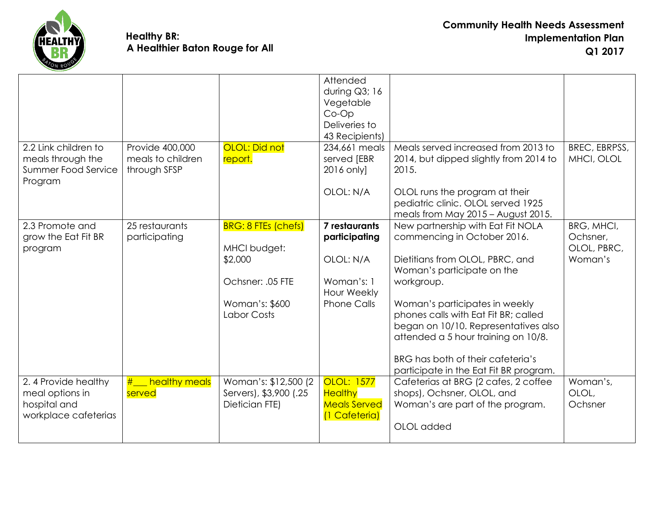

|                                                                                 |                                                      |                                                                                                     | Attended<br>during Q3; 16<br>Vegetable<br>Co-Op<br>Deliveries to<br>43 Recipients)             |                                                                                                                                                                                                    |                                                  |
|---------------------------------------------------------------------------------|------------------------------------------------------|-----------------------------------------------------------------------------------------------------|------------------------------------------------------------------------------------------------|----------------------------------------------------------------------------------------------------------------------------------------------------------------------------------------------------|--------------------------------------------------|
| 2.2 Link children to<br>meals through the<br>Summer Food Service<br>Program     | Provide 400,000<br>meals to children<br>through SFSP | OLOL: Did not<br>report.                                                                            | 234,661 meals<br>served [EBR<br>2016 only]                                                     | Meals served increased from 2013 to<br>2014, but dipped slightly from 2014 to<br>2015.                                                                                                             | BREC, EBRPSS,<br>MHCI, OLOL                      |
|                                                                                 |                                                      |                                                                                                     | OLOL: N/A                                                                                      | OLOL runs the program at their<br>pediatric clinic. OLOL served 1925<br>meals from May 2015 - August 2015.                                                                                         |                                                  |
| 2.3 Promote and<br>grow the Eat Fit BR<br>program                               | 25 restaurants<br>participating                      | BRG: 8 FTEs (chefs)<br>MHCI budget:<br>\$2,000<br>Ochsner: .05 FTE<br>Woman's: \$600<br>Labor Costs | 7 restaurants<br>participating<br>OLOL: N/A<br>Woman's: 1<br>Hour Weekly<br><b>Phone Calls</b> | New partnership with Eat Fit NOLA<br>commencing in October 2016.<br>Dietitians from OLOL, PBRC, and<br>Woman's participate on the<br>workgroup.<br>Woman's participates in weekly                  | BRG, MHCI,<br>Ochsner,<br>OLOL, PBRC,<br>Woman's |
|                                                                                 |                                                      |                                                                                                     |                                                                                                | phones calls with Eat Fit BR; called<br>began on 10/10. Representatives also<br>attended a 5 hour training on 10/8.<br>BRG has both of their cafeteria's<br>participate in the Eat Fit BR program. |                                                  |
| 2. 4 Provide healthy<br>meal options in<br>hospital and<br>workplace cafeterias | $\frac{\text{#}}{\text{#}}$ healthy meals<br>served  | Woman's: \$12,500 (2)<br>Servers), \$3,900 (.25<br>Dietician FTE)                                   | <b>OLOL: 1577</b><br><b>Healthy</b><br><b>Meals Served</b><br>(1 Cafeteria)                    | Cafeterias at BRG (2 cafes, 2 coffee<br>shops), Ochsner, OLOL, and<br>Woman's are part of the program.<br>OLOL added                                                                               | Woman's,<br>OLOL,<br>Ochsner                     |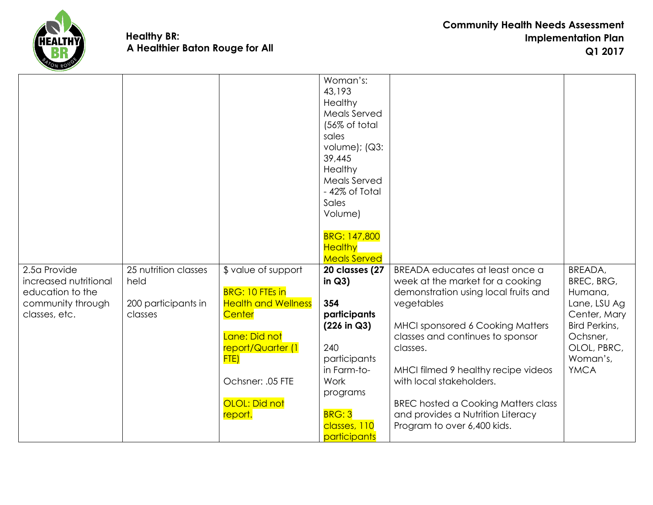

|                       |                      |                            | Woman's:                       |                                            |                      |
|-----------------------|----------------------|----------------------------|--------------------------------|--------------------------------------------|----------------------|
|                       |                      |                            | 43,193                         |                                            |                      |
|                       |                      |                            | Healthy                        |                                            |                      |
|                       |                      |                            | <b>Meals Served</b>            |                                            |                      |
|                       |                      |                            | (56% of total                  |                                            |                      |
|                       |                      |                            | sales                          |                                            |                      |
|                       |                      |                            | volume); (Q3:                  |                                            |                      |
|                       |                      |                            | 39,445                         |                                            |                      |
|                       |                      |                            | <b>Healthy</b>                 |                                            |                      |
|                       |                      |                            | Meals Served<br>- 42% of Total |                                            |                      |
|                       |                      |                            | Sales                          |                                            |                      |
|                       |                      |                            | Volume)                        |                                            |                      |
|                       |                      |                            |                                |                                            |                      |
|                       |                      |                            | <b>BRG: 147,800</b>            |                                            |                      |
|                       |                      |                            | <b>Healthy</b>                 |                                            |                      |
|                       |                      |                            | <b>Meals Served</b>            |                                            |                      |
| 2.5a Provide          | 25 nutrition classes | \$ value of support        | 20 classes (27                 | BREADA educates at least once a            | BREADA,              |
| increased nutritional | held                 |                            | in $Q3$ )                      | week at the market for a cooking           | BREC, BRG,           |
| education to the      |                      | <b>BRG: 10 FTEs in</b>     |                                | demonstration using local fruits and       | Humana,              |
| community through     | 200 participants in  | <b>Health and Wellness</b> | 354                            | vegetables                                 | Lane, LSU Ag         |
| classes, etc.         | classes              | <b>Center</b>              | participants                   |                                            | Center, Mary         |
|                       |                      |                            | (226 in Q3)                    | MHCI sponsored 6 Cooking Matters           | <b>Bird Perkins,</b> |
|                       |                      | Lane: Did not              |                                | classes and continues to sponsor           | Ochsner,             |
|                       |                      | report/Quarter (1          | 240                            | classes.                                   | OLOL, PBRC,          |
|                       |                      | FTE)                       | participants                   |                                            | Woman's,             |
|                       |                      |                            | in Farm-to-                    | MHCI filmed 9 healthy recipe videos        | <b>YMCA</b>          |
|                       |                      | Ochsner: .05 FTE           | Work                           | with local stakeholders.                   |                      |
|                       |                      |                            | programs                       |                                            |                      |
|                       |                      | OLOL: Did not              |                                | <b>BREC hosted a Cooking Matters class</b> |                      |
|                       |                      | report.                    | BRG: 3                         | and provides a Nutrition Literacy          |                      |
|                       |                      |                            | classes, 110                   | Program to over 6,400 kids.                |                      |
|                       |                      |                            | participants                   |                                            |                      |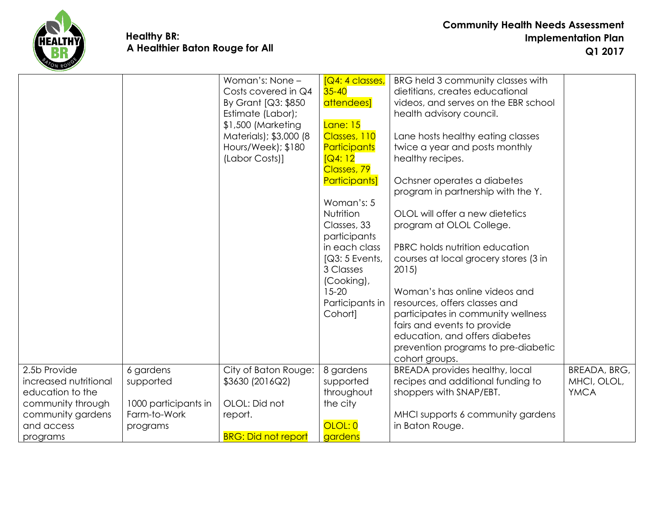

|                       |                      | Woman's: None -            | [Q4: 4 classes,     | BRG held 3 community classes with     |              |
|-----------------------|----------------------|----------------------------|---------------------|---------------------------------------|--------------|
|                       |                      | Costs covered in Q4        | $35 - 40$           | dietitians, creates educational       |              |
|                       |                      | By Grant [Q3: \$850        | attendees]          | videos, and serves on the EBR school  |              |
|                       |                      | Estimate (Labor);          |                     | health advisory council.              |              |
|                       |                      | \$1,500 (Marketing         | <b>Lane: 15</b>     |                                       |              |
|                       |                      | Materials); \$3,000 (8     | Classes, 110        | Lane hosts healthy eating classes     |              |
|                       |                      | Hours/Week); \$180         | Participants        | twice a year and posts monthly        |              |
|                       |                      | (Labor Costs)]             | [Q4:12]             | healthy recipes.                      |              |
|                       |                      |                            | Classes, 79         |                                       |              |
|                       |                      |                            | <b>Participants</b> | Ochsner operates a diabetes           |              |
|                       |                      |                            |                     | program in partnership with the Y.    |              |
|                       |                      |                            | Woman's: 5          |                                       |              |
|                       |                      |                            | <b>Nutrition</b>    | OLOL will offer a new dietetics       |              |
|                       |                      |                            | Classes, 33         | program at OLOL College.              |              |
|                       |                      |                            | participants        |                                       |              |
|                       |                      |                            | in each class       | PBRC holds nutrition education        |              |
|                       |                      |                            | [Q3: 5 Events,      | courses at local grocery stores (3 in |              |
|                       |                      |                            | 3 Classes           | 2015                                  |              |
|                       |                      |                            | (Cooking),          |                                       |              |
|                       |                      |                            | $15 - 20$           | Woman's has online videos and         |              |
|                       |                      |                            | Participants in     | resources, offers classes and         |              |
|                       |                      |                            | Cohort]             | participates in community wellness    |              |
|                       |                      |                            |                     | fairs and events to provide           |              |
|                       |                      |                            |                     | education, and offers diabetes        |              |
|                       |                      |                            |                     | prevention programs to pre-diabetic   |              |
|                       |                      |                            |                     | cohort groups.                        |              |
| 2.5b Provide          | 6 gardens            | City of Baton Rouge:       | 8 gardens           | <b>BREADA</b> provides healthy, local | BREADA, BRG, |
| increased nutritional | supported            | \$3630 (2016Q2)            | supported           | recipes and additional funding to     | MHCI, OLOL,  |
| education to the      |                      |                            | throughout          | shoppers with SNAP/EBT.               | <b>YMCA</b>  |
| community through     | 1000 participants in | OLOL: Did not              | the city            |                                       |              |
| community gardens     | Farm-to-Work         | report.                    |                     | MHCI supports 6 community gardens     |              |
| and access            | programs             |                            | OLOL: 0             | in Baton Rouge.                       |              |
| programs              |                      | <b>BRG: Did not report</b> | gardens             |                                       |              |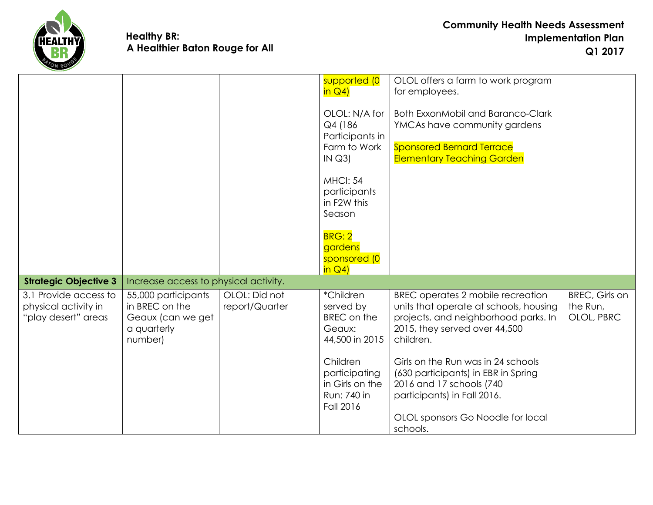

|                                                                      |                                                                                      |                                 | supported (0<br>in Q4                                                    | OLOL offers a farm to work program<br>for employees.                                                                                                              |                                          |
|----------------------------------------------------------------------|--------------------------------------------------------------------------------------|---------------------------------|--------------------------------------------------------------------------|-------------------------------------------------------------------------------------------------------------------------------------------------------------------|------------------------------------------|
|                                                                      |                                                                                      |                                 | OLOL: N/A for<br>Q4 (186<br>Participants in<br>Farm to Work<br>INQ3      | <b>Both ExxonMobil and Baranco-Clark</b><br>YMCAs have community gardens<br><b>Sponsored Bernard Terrace</b><br><b>Elementary Teaching Garden</b>                 |                                          |
|                                                                      |                                                                                      |                                 | <b>MHCI: 54</b><br>participants<br>in F2W this<br>Season                 |                                                                                                                                                                   |                                          |
|                                                                      |                                                                                      |                                 | <b>BRG: 2</b><br>gardens<br>sponsored (0<br>in Q4                        |                                                                                                                                                                   |                                          |
| <b>Strategic Objective 3</b>                                         | Increase access to physical activity.                                                |                                 |                                                                          |                                                                                                                                                                   |                                          |
| 3.1 Provide access to<br>physical activity in<br>"play desert" areas | 55,000 participants<br>in BREC on the<br>Geaux (can we get<br>a quarterly<br>number) | OLOL: Did not<br>report/Quarter | *Children<br>served by<br>BREC on the<br>Geaux:<br>44,500 in 2015        | BREC operates 2 mobile recreation<br>units that operate at schools, housing<br>projects, and neighborhood parks. In<br>2015, they served over 44,500<br>children. | BREC, Girls on<br>the Run,<br>OLOL, PBRC |
|                                                                      |                                                                                      |                                 | Children<br>participating<br>in Girls on the<br>Run: 740 in<br>Fall 2016 | Girls on the Run was in 24 schools<br>(630 participants) in EBR in Spring<br>2016 and 17 schools (740<br>participants) in Fall 2016.                              |                                          |
|                                                                      |                                                                                      |                                 |                                                                          | OLOL sponsors Go Noodle for local<br>schools.                                                                                                                     |                                          |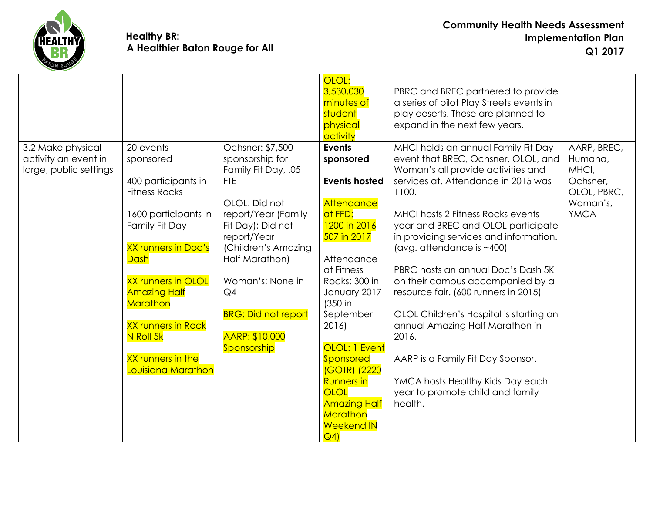

|                                                |                                             |                                          | OLOL:<br>3,530,030<br>minutes of<br>student<br>physical<br>activity | PBRC and BREC partnered to provide<br>a series of pilot Play Streets events in<br>play deserts. These are planned to<br>expand in the next few years. |                         |
|------------------------------------------------|---------------------------------------------|------------------------------------------|---------------------------------------------------------------------|-------------------------------------------------------------------------------------------------------------------------------------------------------|-------------------------|
| 3.2 Make physical                              | 20 events                                   | Ochsner: \$7,500                         | <b>Events</b>                                                       | MHCI holds an annual Family Fit Day                                                                                                                   | AARP, BREC,             |
| activity an event in<br>large, public settings | sponsored                                   | sponsorship for<br>Family Fit Day, .05   | sponsored                                                           | event that BREC, Ochsner, OLOL, and<br>Woman's all provide activities and                                                                             | Humana,<br>MHCI,        |
|                                                | 400 participants in<br><b>Fitness Rocks</b> | <b>FTE</b>                               | <b>Events hosted</b>                                                | services at. Attendance in 2015 was<br>1100.                                                                                                          | Ochsner,<br>OLOL, PBRC, |
|                                                |                                             | OLOL: Did not                            | <b>Attendance</b>                                                   |                                                                                                                                                       | Woman's,                |
|                                                | 1600 participants in<br>Family Fit Day      | report/Year (Family<br>Fit Day); Did not | at FFD:<br>1200 in 2016                                             | <b>MHCI hosts 2 Fitness Rocks events</b><br>year and BREC and OLOL participate                                                                        | <b>YMCA</b>             |
|                                                |                                             | report/Year                              | 507 in 2017                                                         | in providing services and information.                                                                                                                |                         |
|                                                | <b>XX runners in Doc's</b>                  | (Children's Amazing                      |                                                                     | (avg. attendance is $~10$ 00)                                                                                                                         |                         |
|                                                | <b>Dash</b>                                 | Half Marathon)                           | Attendance                                                          |                                                                                                                                                       |                         |
|                                                | <b>XX runners in OLOL</b>                   | Woman's: None in                         | at Fitness<br>Rocks: 300 in                                         | PBRC hosts an annual Doc's Dash 5K                                                                                                                    |                         |
|                                                | <b>Amazing Half</b>                         | Q4                                       | January 2017                                                        | on their campus accompanied by a<br>resource fair. (600 runners in 2015)                                                                              |                         |
|                                                | Marathon                                    |                                          | (350 in                                                             |                                                                                                                                                       |                         |
|                                                |                                             | <b>BRG: Did not report</b>               | September                                                           | OLOL Children's Hospital is starting an                                                                                                               |                         |
|                                                | <b>XX runners in Rock</b>                   |                                          | 2016)                                                               | annual Amazing Half Marathon in                                                                                                                       |                         |
|                                                | N Roll 5k                                   | AARP: \$10,000                           | OLOL: 1 Event                                                       | 2016.                                                                                                                                                 |                         |
|                                                | XX runners in the                           | Sponsorship                              | Sponsored                                                           | AARP is a Family Fit Day Sponsor.                                                                                                                     |                         |
|                                                | Louisiana Marathon                          |                                          | (GOTR) (2220                                                        |                                                                                                                                                       |                         |
|                                                |                                             |                                          | <b>Runners in</b>                                                   | YMCA hosts Healthy Kids Day each                                                                                                                      |                         |
|                                                |                                             |                                          | OLOL                                                                | year to promote child and family                                                                                                                      |                         |
|                                                |                                             |                                          | <b>Amazing Half</b><br>Marathon                                     | health.                                                                                                                                               |                         |
|                                                |                                             |                                          | Weekend IN                                                          |                                                                                                                                                       |                         |
|                                                |                                             |                                          | $\overline{Q4}$                                                     |                                                                                                                                                       |                         |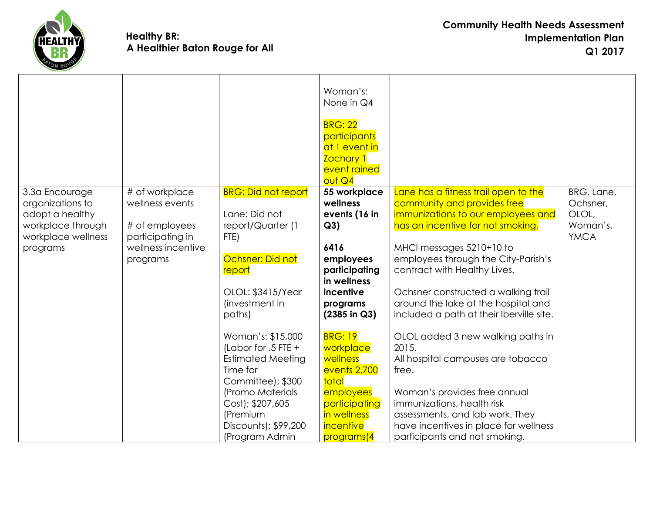

|                                         |                                    |                                  | Woman's:<br>None in Q4<br><b>BRG: 22</b><br>participants<br>at 1 event in<br>Zachary 1<br>event rained<br>out Q4 |                                                                        |                         |
|-----------------------------------------|------------------------------------|----------------------------------|------------------------------------------------------------------------------------------------------------------|------------------------------------------------------------------------|-------------------------|
| 3.3a Encourage                          | # of workplace                     | <b>BRG: Did not report</b>       | 55 workplace                                                                                                     | Lane has a fitness trail open to the                                   | BRG, Lane,              |
| organizations to                        | wellness events                    |                                  | wellness                                                                                                         | community and provides free                                            | Ochsner,                |
| adopt a healthy                         |                                    | Lane: Did not                    | events (16 in                                                                                                    | immunizations to our employees and                                     | OLOL,                   |
| workplace through<br>workplace wellness | # of employees<br>participating in | report/Quarter (1<br>FTE)        | Q3)                                                                                                              | has an incentive for not smoking.                                      | Woman's,<br><b>YMCA</b> |
| programs                                | wellness incentive                 |                                  | 6416                                                                                                             | MHCI messages 5210+10 to                                               |                         |
|                                         | programs                           | Ochsner: Did not                 | employees                                                                                                        | employees through the City-Parish's                                    |                         |
|                                         |                                    | report                           | participating                                                                                                    | contract with Healthy Lives.                                           |                         |
|                                         |                                    |                                  | in wellness                                                                                                      |                                                                        |                         |
|                                         |                                    | OLOL: \$3415/Year                | incentive                                                                                                        | Ochsner constructed a walking trail                                    |                         |
|                                         |                                    | (investment in                   | programs                                                                                                         | around the lake at the hospital and                                    |                         |
|                                         |                                    | paths)                           | $(2385$ in $Q3)$                                                                                                 | included a path at their Iberville site.                               |                         |
|                                         |                                    | Woman's: \$15,000                | <b>BRG: 19</b>                                                                                                   | OLOL added 3 new walking paths in                                      |                         |
|                                         |                                    | (Labor for $.5$ FTE +            | workplace                                                                                                        | 2015.                                                                  |                         |
|                                         |                                    | <b>Estimated Meeting</b>         | wellness                                                                                                         | All hospital campuses are tobacco                                      |                         |
|                                         |                                    | Time for                         | events 2,700                                                                                                     | free.                                                                  |                         |
|                                         |                                    | Committee); \$300                | total                                                                                                            |                                                                        |                         |
|                                         |                                    | (Promo Materials                 | employees                                                                                                        | Woman's provides free annual                                           |                         |
|                                         |                                    | Cost); \$207,605                 | participating                                                                                                    | immunizations, health risk                                             |                         |
|                                         |                                    | (Premium<br>Discounts); \$99,200 | in wellness<br><i>incentive</i>                                                                                  | assessments, and lab work. They                                        |                         |
|                                         |                                    | (Program Admin                   | programs(4                                                                                                       | have incentives in place for wellness<br>participants and not smoking. |                         |
|                                         |                                    |                                  |                                                                                                                  |                                                                        |                         |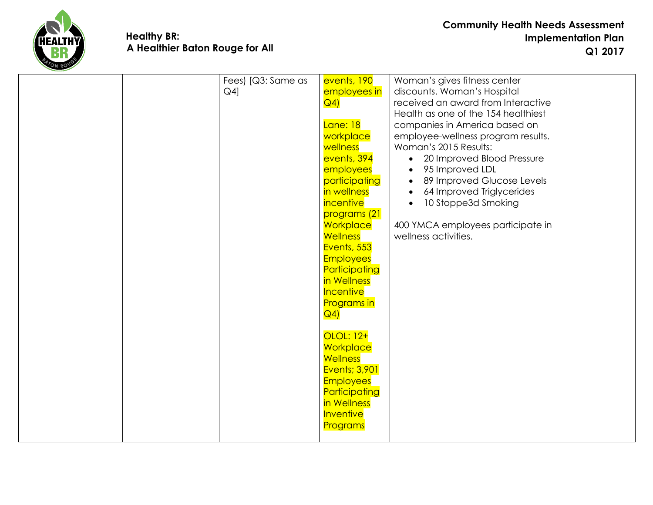

| Woman's gives fitness center<br>Fees) [Q3: Same as<br>discounts. Woman's Hospital<br>Q4]<br>employees in<br>$\overline{Q4}$<br>received an award from Interactive<br>Health as one of the 154 healthiest<br>Lane: 18<br>companies in America based on<br>workplace<br>employee-wellness program results. |  | wellness<br>events, 394<br>employees<br>participating<br>in wellness<br><i>incentive</i><br>programs (21<br>Workplace<br><b>Wellness</b><br>Events, 553<br><b>Employees</b><br>Participating<br>in Wellness<br><b>Incentive</b><br><b>Programs in</b><br>$\overline{Q4}$<br><b>OLOL: 12+</b><br>Workplace<br>Wellness<br><b>Events; 3,901</b><br><b>Employees</b><br>Participating<br>in Wellness<br><b>Inventive</b><br>Programs | Woman's 2015 Results:<br>20 Improved Blood Pressure<br>$\bullet$<br>95 Improved LDL<br>$\bullet$<br>89 Improved Glucose Levels<br>$\bullet$<br>64 Improved Triglycerides<br>10 Stoppe3d Smoking<br>$\bullet$<br>400 YMCA employees participate in<br>wellness activities. |  |
|----------------------------------------------------------------------------------------------------------------------------------------------------------------------------------------------------------------------------------------------------------------------------------------------------------|--|-----------------------------------------------------------------------------------------------------------------------------------------------------------------------------------------------------------------------------------------------------------------------------------------------------------------------------------------------------------------------------------------------------------------------------------|---------------------------------------------------------------------------------------------------------------------------------------------------------------------------------------------------------------------------------------------------------------------------|--|
|                                                                                                                                                                                                                                                                                                          |  |                                                                                                                                                                                                                                                                                                                                                                                                                                   |                                                                                                                                                                                                                                                                           |  |
|                                                                                                                                                                                                                                                                                                          |  |                                                                                                                                                                                                                                                                                                                                                                                                                                   |                                                                                                                                                                                                                                                                           |  |
|                                                                                                                                                                                                                                                                                                          |  |                                                                                                                                                                                                                                                                                                                                                                                                                                   |                                                                                                                                                                                                                                                                           |  |
|                                                                                                                                                                                                                                                                                                          |  |                                                                                                                                                                                                                                                                                                                                                                                                                                   |                                                                                                                                                                                                                                                                           |  |
|                                                                                                                                                                                                                                                                                                          |  |                                                                                                                                                                                                                                                                                                                                                                                                                                   |                                                                                                                                                                                                                                                                           |  |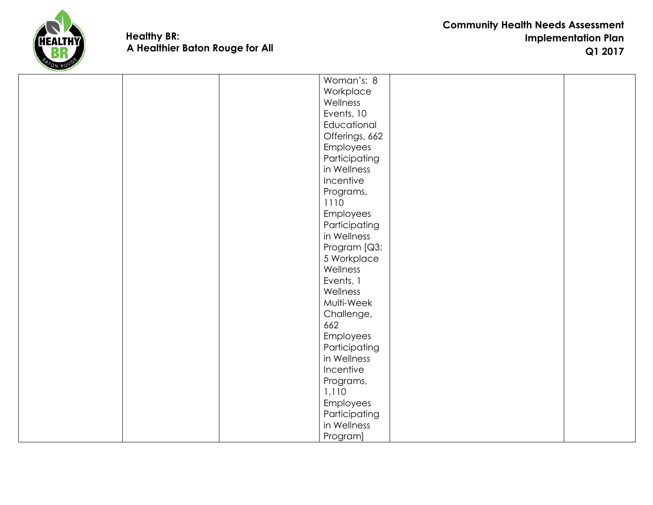

|  | Woman's: 8     |  |
|--|----------------|--|
|  | Workplace      |  |
|  | Wellness       |  |
|  | Events, 10     |  |
|  | Educational    |  |
|  | Offerings, 662 |  |
|  | Employees      |  |
|  | Participating  |  |
|  | in Wellness    |  |
|  | Incentive      |  |
|  | Programs,      |  |
|  | 1110           |  |
|  | Employees      |  |
|  | Participating  |  |
|  | in Wellness    |  |
|  | Program [Q3:   |  |
|  | 5 Workplace    |  |
|  | Wellness       |  |
|  | Events, 1      |  |
|  | Wellness       |  |
|  | Multi-Week     |  |
|  | Challenge,     |  |
|  | 662            |  |
|  | Employees      |  |
|  | Participating  |  |
|  | in Wellness    |  |
|  | Incentive      |  |
|  | Programs,      |  |
|  | 1,110          |  |
|  | Employees      |  |
|  | Participating  |  |
|  | in Wellness    |  |
|  | Program]       |  |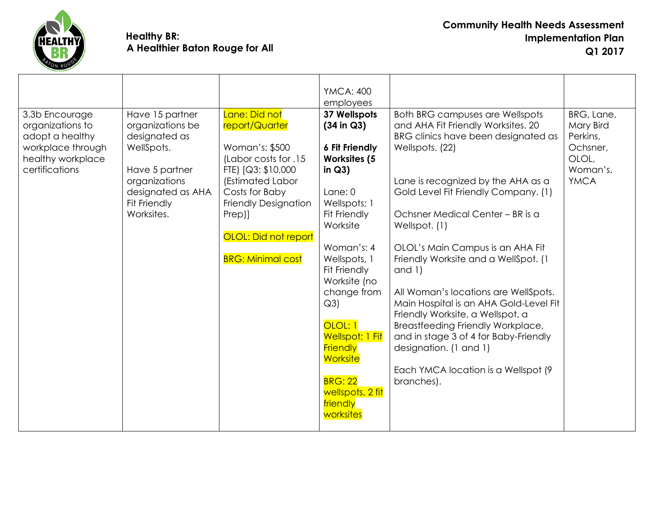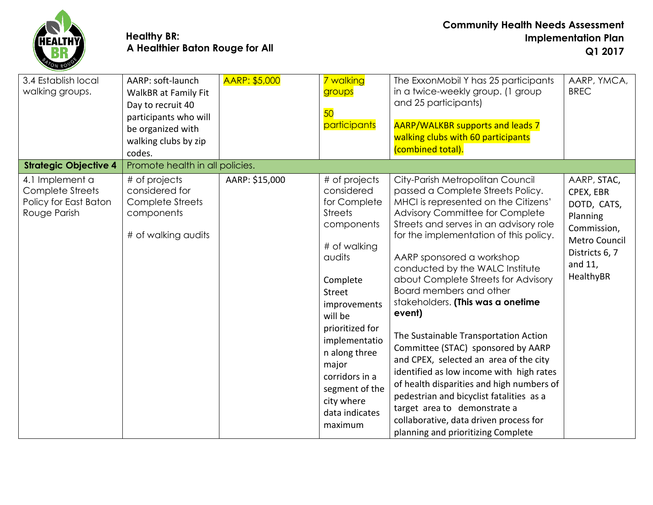

| 3.4 Establish local<br>walking groups.                                              | AARP: soft-launch<br>WalkBR at Family Fit<br>Day to recruit 40<br>participants who will<br>be organized with<br>walking clubs by zip<br>codes. | AARP: \$5,000  | 7 walking<br>groups<br>50<br>participants                                                                                                                                                                                                                                                                  | The ExxonMobil Y has 25 participants<br>in a twice-weekly group. (1 group<br>and 25 participants)<br><b>AARP/WALKBR supports and leads 7</b><br>walking clubs with 60 participants<br>(combined total).                                                                                                                                                                                                                                                                                                                                                                                                                                                                                                                                                                                             | AARP, YMCA,<br><b>BREC</b>                                                                                                    |
|-------------------------------------------------------------------------------------|------------------------------------------------------------------------------------------------------------------------------------------------|----------------|------------------------------------------------------------------------------------------------------------------------------------------------------------------------------------------------------------------------------------------------------------------------------------------------------------|-----------------------------------------------------------------------------------------------------------------------------------------------------------------------------------------------------------------------------------------------------------------------------------------------------------------------------------------------------------------------------------------------------------------------------------------------------------------------------------------------------------------------------------------------------------------------------------------------------------------------------------------------------------------------------------------------------------------------------------------------------------------------------------------------------|-------------------------------------------------------------------------------------------------------------------------------|
| <b>Strategic Objective 4</b>                                                        | Promote health in all policies.                                                                                                                |                |                                                                                                                                                                                                                                                                                                            |                                                                                                                                                                                                                                                                                                                                                                                                                                                                                                                                                                                                                                                                                                                                                                                                     |                                                                                                                               |
| 4.1 Implement a<br><b>Complete Streets</b><br>Policy for East Baton<br>Rouge Parish | # of projects<br>considered for<br><b>Complete Streets</b><br>components<br># of walking audits                                                | AARP: \$15,000 | # of projects<br>considered<br>for Complete<br><b>Streets</b><br>components<br># of walking<br>audits<br>Complete<br><b>Street</b><br>improvements<br>will be<br>prioritized for<br>implementatio<br>n along three<br>major<br>corridors in a<br>segment of the<br>city where<br>data indicates<br>maximum | City-Parish Metropolitan Council<br>passed a Complete Streets Policy.<br>MHCI is represented on the Citizens'<br>Advisory Committee for Complete<br>Streets and serves in an advisory role<br>for the implementation of this policy.<br>AARP sponsored a workshop<br>conducted by the WALC Institute<br>about Complete Streets for Advisory<br>Board members and other<br>stakeholders. (This was a onetime<br>event)<br>The Sustainable Transportation Action<br>Committee (STAC) sponsored by AARP<br>and CPEX, selected an area of the city<br>identified as low income with high rates<br>of health disparities and high numbers of<br>pedestrian and bicyclist fatalities as a<br>target area to demonstrate a<br>collaborative, data driven process for<br>planning and prioritizing Complete | AARP, STAC,<br>CPEX, EBR<br>DOTD, CATS,<br>Planning<br>Commission,<br>Metro Council<br>Districts 6, 7<br>and 11,<br>HealthyBR |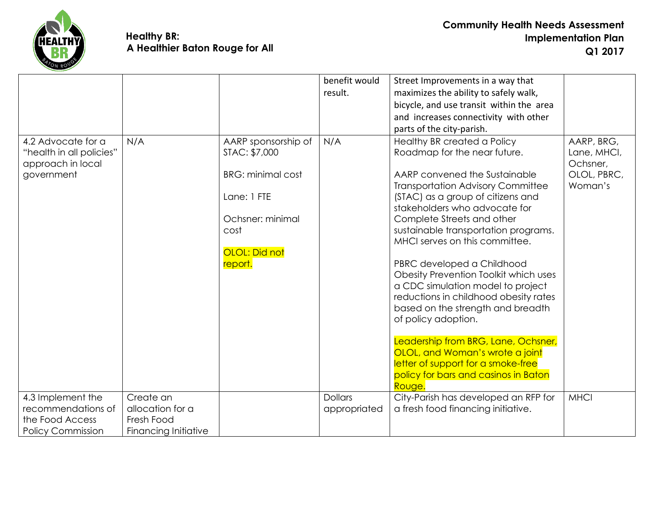

|                          |                             |                          | benefit would  | Street Improvements in a way that        |             |
|--------------------------|-----------------------------|--------------------------|----------------|------------------------------------------|-------------|
|                          |                             |                          |                |                                          |             |
|                          |                             |                          | result.        | maximizes the ability to safely walk,    |             |
|                          |                             |                          |                | bicycle, and use transit within the area |             |
|                          |                             |                          |                | and increases connectivity with other    |             |
|                          |                             |                          |                | parts of the city-parish.                |             |
| 4.2 Advocate for a       | N/A                         | AARP sponsorship of      | N/A            | Healthy BR created a Policy              | AARP, BRG,  |
| "health in all policies" |                             | STAC: \$7,000            |                | Roadmap for the near future.             | Lane, MHCI, |
| approach in local        |                             |                          |                |                                          | Ochsner,    |
| government               |                             | <b>BRG: minimal cost</b> |                | AARP convened the Sustainable            | OLOL, PBRC, |
|                          |                             |                          |                | <b>Transportation Advisory Committee</b> | Woman's     |
|                          |                             | Lane: 1 FTE              |                | (STAC) as a group of citizens and        |             |
|                          |                             |                          |                | stakeholders who advocate for            |             |
|                          |                             | Ochsner: minimal         |                | Complete Streets and other               |             |
|                          |                             | cost                     |                | sustainable transportation programs.     |             |
|                          |                             |                          |                | MHCI serves on this committee.           |             |
|                          |                             | OLOL: Did not            |                |                                          |             |
|                          |                             | report.                  |                | PBRC developed a Childhood               |             |
|                          |                             |                          |                | Obesity Prevention Toolkit which uses    |             |
|                          |                             |                          |                | a CDC simulation model to project        |             |
|                          |                             |                          |                | reductions in childhood obesity rates    |             |
|                          |                             |                          |                | based on the strength and breadth        |             |
|                          |                             |                          |                | of policy adoption.                      |             |
|                          |                             |                          |                |                                          |             |
|                          |                             |                          |                | Leadership from BRG, Lane, Ochsner,      |             |
|                          |                             |                          |                | OLOL, and Woman's wrote a joint          |             |
|                          |                             |                          |                | letter of support for a smoke-free       |             |
|                          |                             |                          |                | policy for bars and casinos in Baton     |             |
|                          |                             |                          |                | Rouge.                                   |             |
| 4.3 Implement the        | Create an                   |                          | <b>Dollars</b> | City-Parish has developed an RFP for     | <b>MHCI</b> |
| recommendations of       | allocation for a            |                          | appropriated   | a fresh food financing initiative.       |             |
| the Food Access          | Fresh Food                  |                          |                |                                          |             |
| <b>Policy Commission</b> | <b>Financing Initiative</b> |                          |                |                                          |             |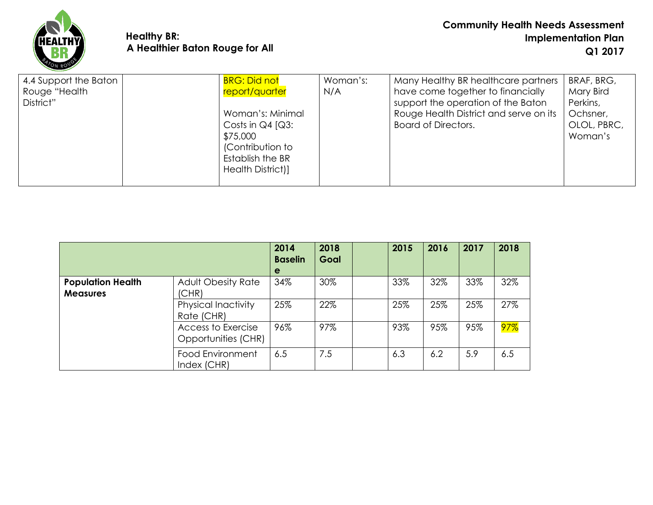

| 4.4 Support the Baton | <b>BRG: Did not</b>    | Woman's: | Many Healthy BR healthcare partners    | BRAF, BRG,       |
|-----------------------|------------------------|----------|----------------------------------------|------------------|
| Rouge "Health         | report/quarter         | N/A      | have come together to financially      | <b>Mary Bird</b> |
| District"             |                        |          | support the operation of the Baton     | Perkins,         |
|                       | Woman's: Minimal       |          | Rouge Health District and serve on its | Ochsner,         |
|                       | Costs in $Q4$ $[Q3]$ : |          | <b>Board of Directors.</b>             | OLOL, PBRC,      |
|                       | \$75,000               |          |                                        | Woman's          |
|                       | (Contribution to       |          |                                        |                  |
|                       | Establish the BR       |          |                                        |                  |
|                       | Health District)]      |          |                                        |                  |
|                       |                        |          |                                        |                  |

|                                             |                                           | 2014<br><b>Baselin</b><br>e | 2018<br>Goal | 2015 | 2016 | 2017 | 2018   |
|---------------------------------------------|-------------------------------------------|-----------------------------|--------------|------|------|------|--------|
| <b>Population Health</b><br><b>Measures</b> | <b>Adult Obesity Rate</b><br>(CHR)        | 34%                         | 30%          | 33%  | 32%  | 33%  | 32%    |
|                                             | Physical Inactivity<br>Rate (CHR)         | 25%                         | 22%          | 25%  | 25%  | 25%  | 27%    |
|                                             | Access to Exercise<br>Opportunities (CHR) | 96%                         | 97%          | 93%  | 95%  | 95%  | $97\%$ |
|                                             | <b>Food Environment</b><br>Index (CHR)    | 6.5                         | 7.5          | 6.3  | 6.2  | 5.9  | 6.5    |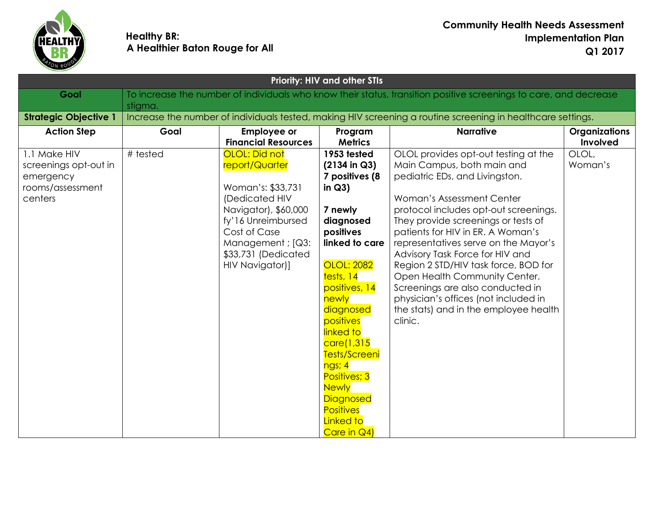

| <b>Priority: HIV and other STIs</b>                                               |          |                                                                                                                                                                                                     |                                                                                                                                                                                                                                                                                                                                                                                |                                                                                                                                                                                                                                                                                                                                                                                                                                                                                                                                            |                                  |  |  |  |
|-----------------------------------------------------------------------------------|----------|-----------------------------------------------------------------------------------------------------------------------------------------------------------------------------------------------------|--------------------------------------------------------------------------------------------------------------------------------------------------------------------------------------------------------------------------------------------------------------------------------------------------------------------------------------------------------------------------------|--------------------------------------------------------------------------------------------------------------------------------------------------------------------------------------------------------------------------------------------------------------------------------------------------------------------------------------------------------------------------------------------------------------------------------------------------------------------------------------------------------------------------------------------|----------------------------------|--|--|--|
| Goal                                                                              | stigma.  |                                                                                                                                                                                                     |                                                                                                                                                                                                                                                                                                                                                                                | To increase the number of individuals who know their status, transition positive screenings to care, and decrease                                                                                                                                                                                                                                                                                                                                                                                                                          |                                  |  |  |  |
| <b>Strategic Objective 1</b>                                                      |          |                                                                                                                                                                                                     |                                                                                                                                                                                                                                                                                                                                                                                | Increase the number of individuals tested, making HIV screening a routine screening in healthcare settings.                                                                                                                                                                                                                                                                                                                                                                                                                                |                                  |  |  |  |
| <b>Action Step</b>                                                                | Goal     | <b>Employee or</b><br><b>Financial Resources</b>                                                                                                                                                    | Program<br><b>Metrics</b>                                                                                                                                                                                                                                                                                                                                                      | <b>Narrative</b>                                                                                                                                                                                                                                                                                                                                                                                                                                                                                                                           | <b>Organizations</b><br>Involved |  |  |  |
| 1.1 Make HIV<br>screenings opt-out in<br>emergency<br>rooms/assessment<br>centers | # tested | OLOL: Did not<br>report/Quarter<br>Woman's: \$33,731<br>(Dedicated HIV<br>Navigator), \$60,000<br>fy'16 Unreimbursed<br>Cost of Case<br>Management ; [Q3:<br>\$33,731 (Dedicated<br>HIV Navigator)] | 1953 tested<br>$(2134$ in Q3)<br>7 positives (8<br>in $Q3$ )<br>7 newly<br>diagnosed<br>positives<br>linked to care<br><b>OLOL: 2082</b><br>tests, 14<br>positives, 14<br>newly<br>diagnosed<br>positives<br>linked to<br>care <sub>1,315</sub><br>Tests/Screeni<br>ngs; 4<br>Positives; 3<br><b>Newly</b><br><b>Diagnosed</b><br><b>Positives</b><br>Linked to<br>Care in Q4) | OLOL provides opt-out testing at the<br>Main Campus, both main and<br>pediatric EDs, and Livingston.<br>Woman's Assessment Center<br>protocol includes opt-out screenings.<br>They provide screenings or tests of<br>patients for HIV in ER. A Woman's<br>representatives serve on the Mayor's<br>Advisory Task Force for HIV and<br>Region 2 STD/HIV task force, BOD for<br>Open Health Community Center.<br>Screenings are also conducted in<br>physician's offices (not included in<br>the stats) and in the employee health<br>clinic. | OLOL,<br>Woman's                 |  |  |  |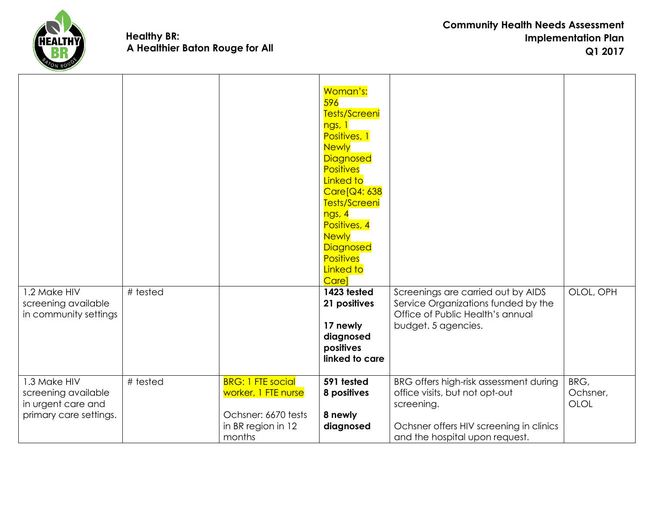

| 1.2 Make HIV<br>screening available<br>in community settings                        | # tested |                                                                                                        | Woman's:<br>596<br>Tests/Screeni<br><mark>ngs, 1</mark><br>Positives, 1<br><b>Newly</b><br><b>Diagnosed</b><br><b>Positives</b><br>Linked to<br>$Care$ [ $Q4:638$<br>Tests/Screeni<br>ngs, 4<br>Positives, 4<br><b>Newly</b><br><b>Diagnosed</b><br><b>Positives</b><br>Linked to<br>Carel<br>1423 tested<br>21 positives | Screenings are carried out by AIDS<br>Service Organizations funded by the<br>Office of Public Health's annual                                                       | OLOL, OPH                |
|-------------------------------------------------------------------------------------|----------|--------------------------------------------------------------------------------------------------------|---------------------------------------------------------------------------------------------------------------------------------------------------------------------------------------------------------------------------------------------------------------------------------------------------------------------------|---------------------------------------------------------------------------------------------------------------------------------------------------------------------|--------------------------|
|                                                                                     |          |                                                                                                        | 17 newly<br>diagnosed<br>positives<br>linked to care                                                                                                                                                                                                                                                                      | budget. 5 agencies.                                                                                                                                                 |                          |
| 1.3 Make HIV<br>screening available<br>in urgent care and<br>primary care settings. | # tested | <b>BRG: 1 FTE social</b><br>worker, 1 FTE nurse<br>Ochsner: 6670 tests<br>in BR region in 12<br>months | 591 tested<br>8 positives<br>8 newly<br>diagnosed                                                                                                                                                                                                                                                                         | BRG offers high-risk assessment during<br>office visits, but not opt-out<br>screening.<br>Ochsner offers HIV screening in clinics<br>and the hospital upon request. | BRG,<br>Ochsner,<br>OLOL |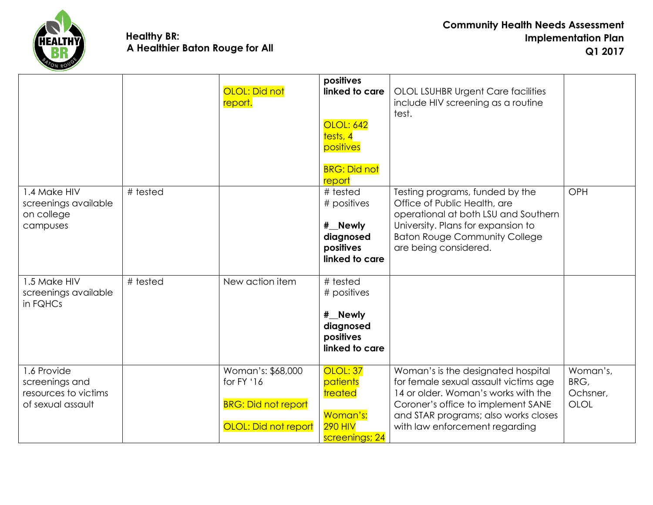

|                                                                            |          | OLOL: Did not<br>report.                                                              | positives<br>linked to care<br><b>OLOL: 642</b><br>tests, 4<br>positives<br><b>BRG: Did not</b><br>report | <b>OLOL LSUHBR Urgent Care facilities</b><br>include HIV screening as a routine<br>test.                                                                                                                                           |                                      |
|----------------------------------------------------------------------------|----------|---------------------------------------------------------------------------------------|-----------------------------------------------------------------------------------------------------------|------------------------------------------------------------------------------------------------------------------------------------------------------------------------------------------------------------------------------------|--------------------------------------|
| 1.4 Make HIV<br>screenings available<br>on college<br>campuses             | # tested |                                                                                       | # tested<br># positives<br># Newly<br>diagnosed<br>positives<br>linked to care                            | Testing programs, funded by the<br>Office of Public Health, are<br>operational at both LSU and Southern<br>University. Plans for expansion to<br><b>Baton Rouge Community College</b><br>are being considered.                     | OPH                                  |
| 1.5 Make HIV<br>screenings available<br>in FQHCs                           | # tested | New action item                                                                       | # tested<br># positives<br># Newly<br>diagnosed<br>positives<br>linked to care                            |                                                                                                                                                                                                                                    |                                      |
| 1.6 Provide<br>screenings and<br>resources to victims<br>of sexual assault |          | Woman's: \$68,000<br>for FY '16<br><b>BRG: Did not report</b><br>OLOL: Did not report | <b>OLOL: 37</b><br>patients<br>treated<br>Woman's:<br><b>290 HIV</b><br>screenings; 24                    | Woman's is the designated hospital<br>for female sexual assault victims age<br>14 or older. Woman's works with the<br>Coroner's office to implement SANE<br>and STAR programs; also works closes<br>with law enforcement regarding | Woman's,<br>BRG,<br>Ochsner,<br>OLOL |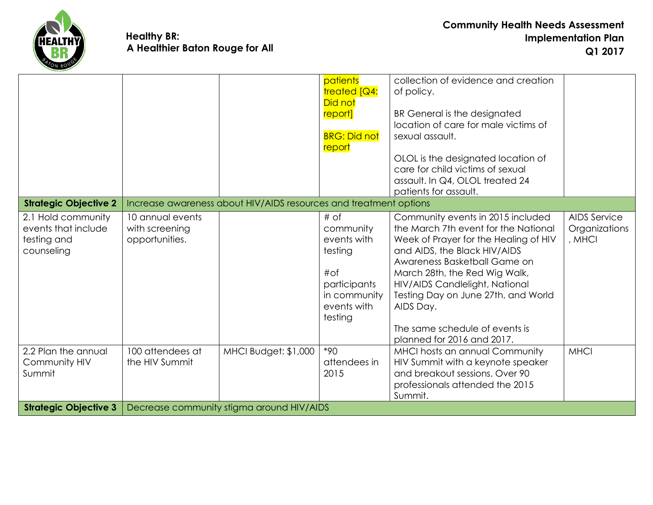

|                                                                        |                                                      |                                                                   | patients<br>treated [Q4:<br>Did not<br>report]<br><b>BRG: Did not</b><br>report                                 | collection of evidence and creation<br>of policy.<br>BR General is the designated<br>location of care for male victims of<br>sexual assault.<br>OLOL is the designated location of<br>care for child victims of sexual<br>assault. In Q4, OLOL treated 24<br>patients for assault.                                                                                        |                                         |
|------------------------------------------------------------------------|------------------------------------------------------|-------------------------------------------------------------------|-----------------------------------------------------------------------------------------------------------------|---------------------------------------------------------------------------------------------------------------------------------------------------------------------------------------------------------------------------------------------------------------------------------------------------------------------------------------------------------------------------|-----------------------------------------|
| <b>Strategic Objective 2</b>                                           |                                                      | Increase awareness about HIV/AIDS resources and treatment options |                                                                                                                 |                                                                                                                                                                                                                                                                                                                                                                           |                                         |
| 2.1 Hold community<br>events that include<br>testing and<br>counseling | 10 annual events<br>with screening<br>opportunities. |                                                                   | # of<br>community<br>events with<br>testing<br>$#$ of<br>participants<br>in community<br>events with<br>testing | Community events in 2015 included<br>the March 7th event for the National<br>Week of Prayer for the Healing of HIV<br>and AIDS, the Black HIV/AIDS<br>Awareness Basketball Game on<br>March 28th, the Red Wig Walk,<br>HIV/AIDS Candlelight, National<br>Testing Day on June 27th, and World<br>AIDS Day.<br>The same schedule of events is<br>planned for 2016 and 2017. | AIDS Service<br>Organizations<br>, MHCI |
| 2.2 Plan the annual<br>Community HIV<br>Summit                         | 100 attendees at<br>the HIV Summit                   | MHCI Budget: \$1,000                                              | $*90$<br>attendees in<br>2015                                                                                   | MHCI hosts an annual Community<br>HIV Summit with a keynote speaker<br>and breakout sessions. Over 90<br>professionals attended the 2015<br>Summit.                                                                                                                                                                                                                       | <b>MHCI</b>                             |
| <b>Strategic Objective 3</b>                                           |                                                      | Decrease community stigma around HIV/AIDS                         |                                                                                                                 |                                                                                                                                                                                                                                                                                                                                                                           |                                         |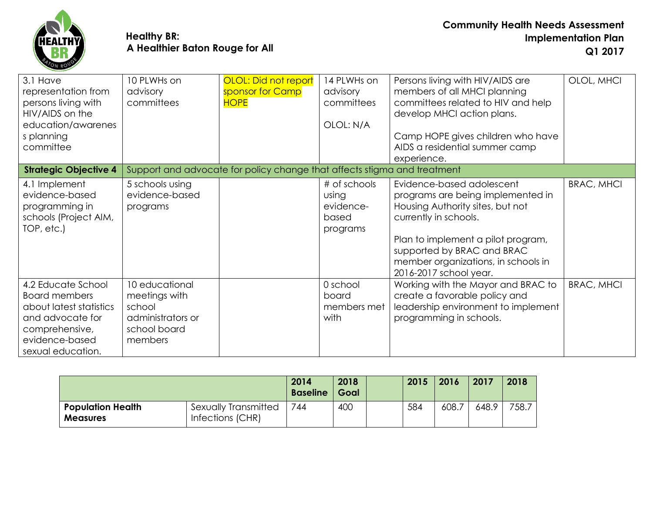

| 3.1 Have<br>representation from<br>persons living with<br>HIV/AIDS on the<br>education/awarenes<br>s planning<br>committee                         | 10 PLWHs on<br>advisory<br>committees                                                     | OLOL: Did not report<br>sponsor for Camp<br><b>HOPE</b>                  | 14 PLWHs on<br>advisory<br>committees<br>OLOL: N/A      | Persons living with HIV/AIDS are<br>members of all MHCI planning<br>committees related to HIV and help<br>develop MHCI action plans.<br>Camp HOPE gives children who have<br>AIDS a residential summer camp<br>experience.                                       | OLOL, MHCI        |
|----------------------------------------------------------------------------------------------------------------------------------------------------|-------------------------------------------------------------------------------------------|--------------------------------------------------------------------------|---------------------------------------------------------|------------------------------------------------------------------------------------------------------------------------------------------------------------------------------------------------------------------------------------------------------------------|-------------------|
| <b>Strategic Objective 4</b>                                                                                                                       |                                                                                           | Support and advocate for policy change that affects stigma and treatment |                                                         |                                                                                                                                                                                                                                                                  |                   |
| 4.1 Implement<br>evidence-based<br>programming in<br>schools (Project AIM,<br>TOP, etc.)                                                           | 5 schools using<br>evidence-based<br>programs                                             |                                                                          | # of schools<br>using<br>evidence-<br>based<br>programs | Evidence-based adolescent<br>programs are being implemented in<br>Housing Authority sites, but not<br>currently in schools.<br>Plan to implement a pilot program,<br>supported by BRAC and BRAC<br>member organizations, in schools in<br>2016-2017 school year. | <b>BRAC, MHCI</b> |
| 4.2 Educate School<br><b>Board members</b><br>about latest statistics<br>and advocate for<br>comprehensive,<br>evidence-based<br>sexual education. | 10 educational<br>meetings with<br>school<br>administrators or<br>school board<br>members |                                                                          | 0 school<br>board<br>members met<br>with                | Working with the Mayor and BRAC to<br>create a favorable policy and<br>leadership environment to implement<br>programming in schools.                                                                                                                            | <b>BRAC, MHCI</b> |

|                                             |                                          | 2014<br><b>Baseline</b> | 2018<br>Goal | 2015 | 2016 | 2017  | 2018  |
|---------------------------------------------|------------------------------------------|-------------------------|--------------|------|------|-------|-------|
| <b>Population Health</b><br><b>Measures</b> | Sexually Transmitted<br>Infections (CHR) | 744                     | 400          | 584  | 608. | 648.9 | 758.7 |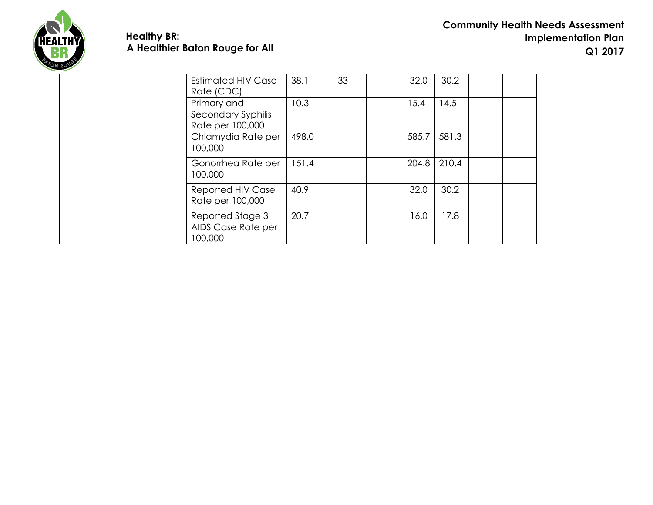

| <b>Estimated HIV Case</b><br>Rate (CDC)               | 38.1  | 33 | 32.0  | 30.2  |  |
|-------------------------------------------------------|-------|----|-------|-------|--|
| Primary and<br>Secondary Syphilis<br>Rate per 100,000 | 10.3  |    | 15.4  | 14.5  |  |
| Chlamydia Rate per<br>100,000                         | 498.0 |    | 585.7 | 581.3 |  |
| Gonorrhea Rate per<br>100,000                         | 151.4 |    | 204.8 | 210.4 |  |
| Reported HIV Case<br>Rate per 100,000                 | 40.9  |    | 32.0  | 30.2  |  |
| Reported Stage 3<br>AIDS Case Rate per<br>100,000     | 20.7  |    | 16.0  | 17.8  |  |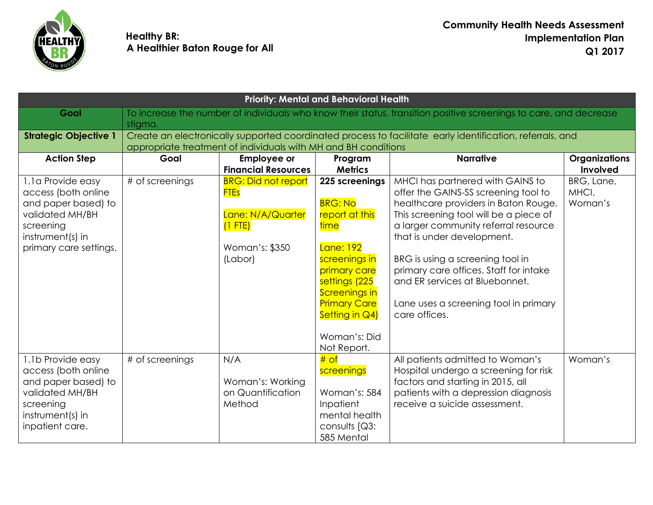

|                                                                                                                                               | <b>Priority: Mental and Behavioral Health</b> |                                                                                                          |                                                                                                                                                                                                                                  |                                                                                                                                                                                                                                                                                                                                                                                                            |                                |  |  |
|-----------------------------------------------------------------------------------------------------------------------------------------------|-----------------------------------------------|----------------------------------------------------------------------------------------------------------|----------------------------------------------------------------------------------------------------------------------------------------------------------------------------------------------------------------------------------|------------------------------------------------------------------------------------------------------------------------------------------------------------------------------------------------------------------------------------------------------------------------------------------------------------------------------------------------------------------------------------------------------------|--------------------------------|--|--|
| Goal                                                                                                                                          | stigma.                                       |                                                                                                          |                                                                                                                                                                                                                                  | To increase the number of individuals who know their status, transition positive screenings to care, and decrease                                                                                                                                                                                                                                                                                          |                                |  |  |
| <b>Strategic Objective 1</b>                                                                                                                  |                                               | appropriate treatment of individuals with MH and BH conditions                                           |                                                                                                                                                                                                                                  | Create an electronically supported coordinated process to facilitate early identification, referrals, and                                                                                                                                                                                                                                                                                                  |                                |  |  |
| <b>Action Step</b>                                                                                                                            | Goal                                          | <b>Employee or</b><br><b>Financial Resources</b>                                                         | Program<br><b>Metrics</b>                                                                                                                                                                                                        | <b>Narrative</b>                                                                                                                                                                                                                                                                                                                                                                                           | Organizations<br>Involved      |  |  |
| 1.1a Provide easy<br>access (both online<br>and paper based) to<br>validated MH/BH<br>screening<br>instrument(s) in<br>primary care settings. | # of screenings                               | <b>BRG: Did not report</b><br><b>FTEs</b><br>Lane: N/A/Quarter<br>$(1$ FTE)<br>Woman's: \$350<br>(Labor) | 225 screenings<br><b>BRG: No</b><br>report at this<br><b>time</b><br><b>Lane: 192</b><br>screenings in<br>primary care<br>settings (225<br>Screenings in<br><b>Primary Care</b><br>Setting in Q4)<br>Woman's: Did<br>Not Report. | MHCI has partnered with GAINS to<br>offer the GAINS-SS screening tool to<br>healthcare providers in Baton Rouge.<br>This screening tool will be a piece of<br>a larger community referral resource<br>that is under development.<br>BRG is using a screening tool in<br>primary care offices. Staff for intake<br>and ER services at Bluebonnet.<br>Lane uses a screening tool in primary<br>care offices. | BRG, Lane,<br>MHCI,<br>Woman's |  |  |
| 1.1b Provide easy<br>access (both online<br>and paper based) to<br>validated MH/BH<br>screening<br>instrument(s) in<br>inpatient care.        | # of screenings                               | N/A<br>Woman's: Working<br>on Quantification<br>Method                                                   | $#$ of<br>screenings<br><b>Woman's: 584</b><br>Inpatient<br>mental health<br>consults [Q3:<br>585 Mental                                                                                                                         | All patients admitted to Woman's<br>Hospital undergo a screening for risk<br>factors and starting in 2015, all<br>patients with a depression diagnosis<br>receive a suicide assessment.                                                                                                                                                                                                                    | Woman's                        |  |  |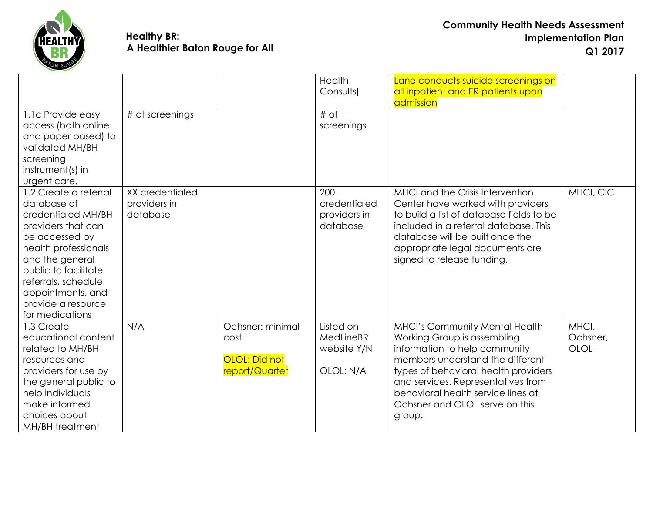

|                                                                                                                                                                                                                                                            |                                             |                                                             | Health<br>Consults]                                       | Lane conducts suicide screenings on<br>all inpatient and ER patients upon<br>admission                                                                                                                                                                                                                    |                           |
|------------------------------------------------------------------------------------------------------------------------------------------------------------------------------------------------------------------------------------------------------------|---------------------------------------------|-------------------------------------------------------------|-----------------------------------------------------------|-----------------------------------------------------------------------------------------------------------------------------------------------------------------------------------------------------------------------------------------------------------------------------------------------------------|---------------------------|
| 1.1c Provide easy<br>access (both online<br>and paper based) to<br>validated MH/BH<br>screening<br>instrument(s) in<br>urgent care.                                                                                                                        | # of screenings                             |                                                             | $#$ of<br>screenings                                      |                                                                                                                                                                                                                                                                                                           |                           |
| 1.2 Create a referral<br>database of<br>credentialed MH/BH<br>providers that can<br>be accessed by<br>health professionals<br>and the general<br>public to facilitate<br>referrals, schedule<br>appointments, and<br>provide a resource<br>for medications | XX credentialed<br>providers in<br>database |                                                             | 200<br>credentialed<br>providers in<br>database           | MHCI and the Crisis Intervention<br>Center have worked with providers<br>to build a list of database fields to be<br>included in a referral database. This<br>database will be built once the<br>appropriate legal documents are<br>signed to release funding.                                            | MHCI, CIC                 |
| 1.3 Create<br>educational content<br>related to MH/BH<br>resources and<br>providers for use by<br>the general public to<br>help individuals<br>make informed<br>choices about<br>MH/BH treatment                                                           | N/A                                         | Ochsner: minimal<br>cost<br>OLOL: Did not<br>report/Quarter | Listed on<br><b>MedLineBR</b><br>website Y/N<br>OLOL: N/A | <b>MHCI's Community Mental Health</b><br>Working Group is assembling<br>information to help community<br>members understand the different<br>types of behavioral health providers<br>and services. Representatives from<br>behavioral health service lines at<br>Ochsner and OLOL serve on this<br>group. | MHCI,<br>Ochsner,<br>OLOL |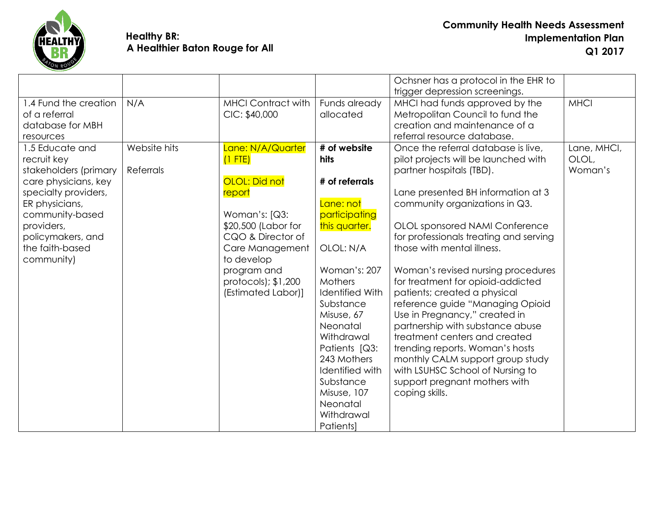

|                       |              |                           |                        | Ochsner has a protocol in the EHR to   |             |
|-----------------------|--------------|---------------------------|------------------------|----------------------------------------|-------------|
|                       |              |                           |                        | trigger depression screenings.         |             |
| 1.4 Fund the creation | N/A          | <b>MHCI Contract with</b> | Funds already          | MHCI had funds approved by the         | <b>MHCI</b> |
| of a referral         |              | CIC: \$40,000             | allocated              | Metropolitan Council to fund the       |             |
| database for MBH      |              |                           |                        | creation and maintenance of a          |             |
| resources             |              |                           |                        | referral resource database.            |             |
| 1.5 Educate and       | Website hits | Lane: N/A/Quarter         | # of website           | Once the referral database is live,    | Lane, MHCI, |
| recruit key           |              | $(1$ FTE)                 | hits                   | pilot projects will be launched with   | OLOL,       |
| stakeholders (primary | Referrals    |                           |                        | partner hospitals (TBD).               | Woman's     |
| care physicians, key  |              | OLOL: Did not             | # of referrals         |                                        |             |
| specialty providers,  |              | report                    |                        | Lane presented BH information at 3     |             |
| ER physicians,        |              |                           | Lane: not              | community organizations in Q3.         |             |
| community-based       |              | Woman's: [Q3:             | participating          |                                        |             |
| providers,            |              | \$20,500 (Labor for       | this quarter.          | OLOL sponsored NAMI Conference         |             |
| policymakers, and     |              | CQO & Director of         |                        | for professionals treating and serving |             |
| the faith-based       |              | Care Management           | OLOL: N/A              | those with mental illness.             |             |
| community)            |              | to develop                |                        |                                        |             |
|                       |              | program and               | <b>Woman's: 207</b>    | Woman's revised nursing procedures     |             |
|                       |              | protocols); \$1,200       | <b>Mothers</b>         | for treatment for opioid-addicted      |             |
|                       |              | (Estimated Labor)]        | <b>Identified With</b> | patients; created a physical           |             |
|                       |              |                           | Substance              | reference guide "Managing Opioid       |             |
|                       |              |                           | Misuse, 67             | Use in Pregnancy," created in          |             |
|                       |              |                           | Neonatal               | partnership with substance abuse       |             |
|                       |              |                           | Withdrawal             | treatment centers and created          |             |
|                       |              |                           | Patients [Q3:          | trending reports. Woman's hosts        |             |
|                       |              |                           | 243 Mothers            | monthly CALM support group study       |             |
|                       |              |                           | Identified with        | with LSUHSC School of Nursing to       |             |
|                       |              |                           | Substance              | support pregnant mothers with          |             |
|                       |              |                           | Misuse, 107            | coping skills.                         |             |
|                       |              |                           | Neonatal               |                                        |             |
|                       |              |                           | Withdrawal             |                                        |             |
|                       |              |                           | <b>Patients</b>        |                                        |             |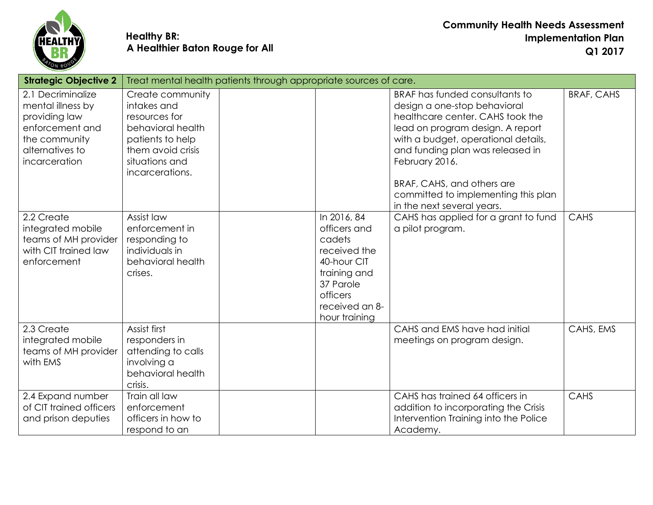

| <b>Strategic Objective 2</b>                                                                                                    |                                                                                                                                                     | Treat mental health patients through appropriate sources of care. |                                                                                                                                                  |                                                                                                                                                                                                                                                                                                                                        |                   |
|---------------------------------------------------------------------------------------------------------------------------------|-----------------------------------------------------------------------------------------------------------------------------------------------------|-------------------------------------------------------------------|--------------------------------------------------------------------------------------------------------------------------------------------------|----------------------------------------------------------------------------------------------------------------------------------------------------------------------------------------------------------------------------------------------------------------------------------------------------------------------------------------|-------------------|
| 2.1 Decriminalize<br>mental illness by<br>providing law<br>enforcement and<br>the community<br>alternatives to<br>incarceration | Create community<br>intakes and<br>resources for<br>behavioral health<br>patients to help<br>them avoid crisis<br>situations and<br>incarcerations. |                                                                   |                                                                                                                                                  | BRAF has funded consultants to<br>design a one-stop behavioral<br>healthcare center. CAHS took the<br>lead on program design. A report<br>with a budget, operational details,<br>and funding plan was released in<br>February 2016.<br>BRAF, CAHS, and others are<br>committed to implementing this plan<br>in the next several years. | <b>BRAF, CAHS</b> |
| 2.2 Create<br>integrated mobile<br>teams of MH provider<br>with CIT trained law<br>enforcement                                  | Assist law<br>enforcement in<br>responding to<br>individuals in<br>behavioral health<br>crises.                                                     |                                                                   | In 2016, 84<br>officers and<br>cadets<br>received the<br>40-hour CIT<br>training and<br>37 Parole<br>officers<br>received an 8-<br>hour training | CAHS has applied for a grant to fund<br>a pilot program.                                                                                                                                                                                                                                                                               | CAHS              |
| 2.3 Create<br>integrated mobile<br>teams of MH provider<br>with EMS                                                             | Assist first<br>responders in<br>attending to calls<br>involving a<br>behavioral health<br>crisis.                                                  |                                                                   |                                                                                                                                                  | CAHS and EMS have had initial<br>meetings on program design.                                                                                                                                                                                                                                                                           | CAHS, EMS         |
| 2.4 Expand number<br>of CIT trained officers<br>and prison deputies                                                             | Train all law<br>enforcement<br>officers in how to<br>respond to an                                                                                 |                                                                   |                                                                                                                                                  | CAHS has trained 64 officers in<br>addition to incorporating the Crisis<br>Intervention Training into the Police<br>Academy.                                                                                                                                                                                                           | CAHS              |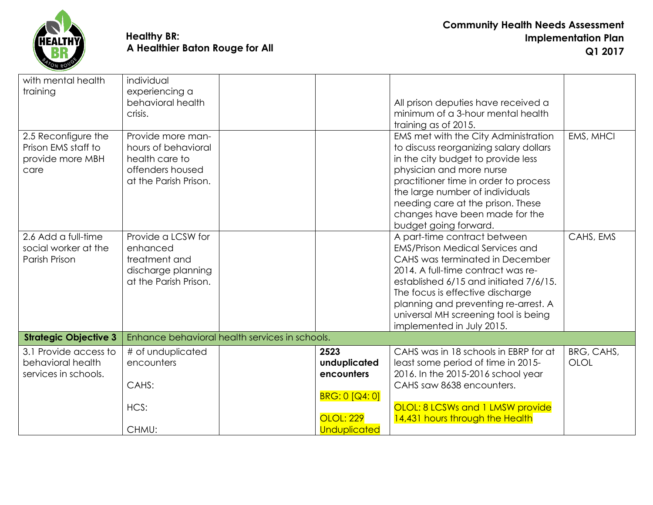

| with mental health           | individual                          |                                                |                       |                                                                     |            |
|------------------------------|-------------------------------------|------------------------------------------------|-----------------------|---------------------------------------------------------------------|------------|
| training                     | experiencing a<br>behavioral health |                                                |                       | All prison deputies have received a                                 |            |
|                              | crisis.                             |                                                |                       | minimum of a 3-hour mental health                                   |            |
|                              |                                     |                                                |                       | training as of 2015.                                                |            |
| 2.5 Reconfigure the          | Provide more man-                   |                                                |                       | EMS met with the City Administration                                | EMS, MHCI  |
| Prison EMS staff to          | hours of behavioral                 |                                                |                       | to discuss reorganizing salary dollars                              |            |
| provide more MBH             | health care to                      |                                                |                       | in the city budget to provide less                                  |            |
| care                         | offenders housed                    |                                                |                       | physician and more nurse                                            |            |
|                              | at the Parish Prison.               |                                                |                       | practitioner time in order to process                               |            |
|                              |                                     |                                                |                       | the large number of individuals                                     |            |
|                              |                                     |                                                |                       | needing care at the prison. These                                   |            |
|                              |                                     |                                                |                       | changes have been made for the                                      |            |
|                              |                                     |                                                |                       | budget going forward.                                               |            |
| 2.6 Add a full-time          | Provide a LCSW for                  |                                                |                       | A part-time contract between                                        | CAHS, EMS  |
| social worker at the         | enhanced                            |                                                |                       | <b>EMS/Prison Medical Services and</b>                              |            |
| Parish Prison                | treatment and                       |                                                |                       | CAHS was terminated in December                                     |            |
|                              | discharge planning                  |                                                |                       | 2014. A full-time contract was re-                                  |            |
|                              | at the Parish Prison.               |                                                |                       | established 6/15 and initiated 7/6/15.                              |            |
|                              |                                     |                                                |                       | The focus is effective discharge                                    |            |
|                              |                                     |                                                |                       | planning and preventing re-arrest. A                                |            |
|                              |                                     |                                                |                       | universal MH screening tool is being                                |            |
|                              |                                     |                                                |                       | implemented in July 2015.                                           |            |
| <b>Strategic Objective 3</b> |                                     | Enhance behavioral health services in schools. |                       |                                                                     |            |
| 3.1 Provide access to        | # of unduplicated                   |                                                | 2523                  | CAHS was in 18 schools in EBRP for at                               | BRG, CAHS, |
| behavioral health            | encounters                          |                                                | unduplicated          | least some period of time in 2015-                                  | OLOL       |
| services in schools.         |                                     |                                                | encounters            | 2016. In the 2015-2016 school year                                  |            |
|                              | CAHS:                               |                                                |                       | CAHS saw 8638 encounters.                                           |            |
|                              | HCS:                                |                                                | <b>BRG: 0 [Q4: 0]</b> |                                                                     |            |
|                              |                                     |                                                | <b>OLOL: 229</b>      | OLOL: 8 LCSWs and 1 LMSW provide<br>14,431 hours through the Health |            |
|                              | CHMU:                               |                                                | Unduplicated          |                                                                     |            |
|                              |                                     |                                                |                       |                                                                     |            |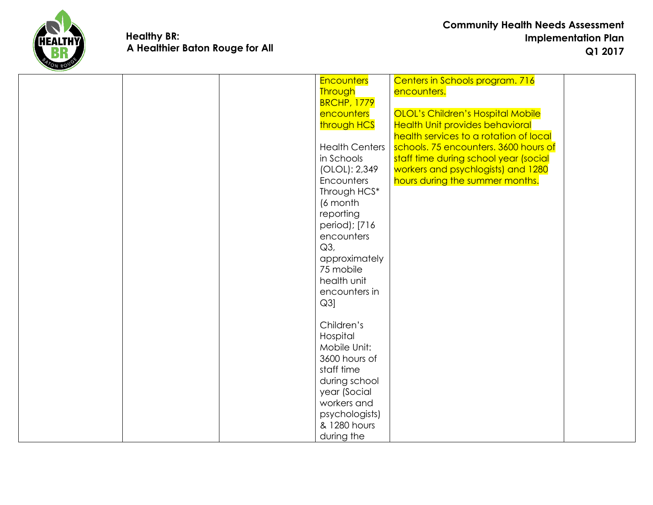

|  | <b>Encounters</b>     | Centers in Schools program. 716        |  |
|--|-----------------------|----------------------------------------|--|
|  | <b>Through</b>        | encounters.                            |  |
|  | <b>BRCHP, 1779</b>    |                                        |  |
|  | encounters            | OLOL's Children's Hospital Mobile      |  |
|  | through HCS           | <b>Health Unit provides behavioral</b> |  |
|  |                       | health services to a rotation of local |  |
|  | <b>Health Centers</b> | schools. 75 encounters. 3600 hours of  |  |
|  | in Schools            | staff time during school year (social  |  |
|  | (OLOL): 2,349         | workers and psychlogists) and 1280     |  |
|  | Encounters            | hours during the summer months.        |  |
|  | Through HCS*          |                                        |  |
|  | (6 month              |                                        |  |
|  | reporting             |                                        |  |
|  | period); [716         |                                        |  |
|  | encounters            |                                        |  |
|  | $Q3$ ,                |                                        |  |
|  | approximately         |                                        |  |
|  | 75 mobile             |                                        |  |
|  | health unit           |                                        |  |
|  | encounters in         |                                        |  |
|  | $Q3$ ]                |                                        |  |
|  |                       |                                        |  |
|  | Children's            |                                        |  |
|  | Hospital              |                                        |  |
|  | Mobile Unit:          |                                        |  |
|  | 3600 hours of         |                                        |  |
|  | staff time            |                                        |  |
|  | during school         |                                        |  |
|  | year (Social          |                                        |  |
|  | workers and           |                                        |  |
|  | psychologists)        |                                        |  |
|  | & 1280 hours          |                                        |  |
|  | during the            |                                        |  |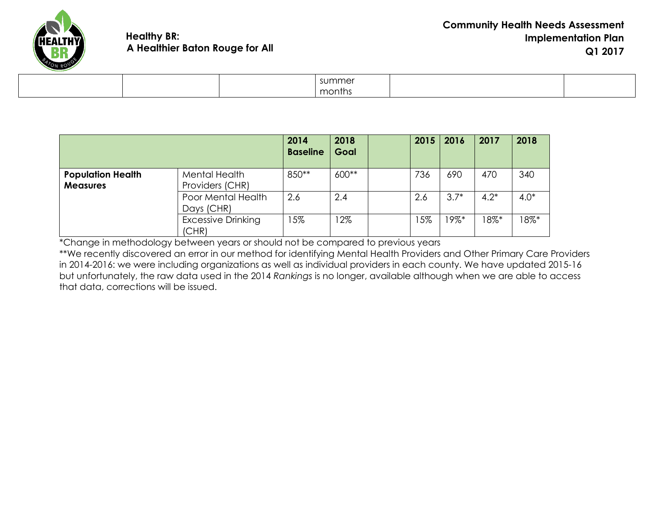

|  | ımmer<br>SU<br>$\sim$ $\sim$ $\sim$ $\sim$ $\sim$ $\sim$ |  |
|--|----------------------------------------------------------|--|
|  | months<br>.                                              |  |

|                                             |                                    | 2014<br><b>Baseline</b> | 2018<br>Goal | 2015 | 2016   | 2017     | 2018     |
|---------------------------------------------|------------------------------------|-------------------------|--------------|------|--------|----------|----------|
| <b>Population Health</b><br><b>Measures</b> | Mental Health<br>Providers (CHR)   | 850**                   | 600**        | 736  | 690    | 470      | 340      |
|                                             | Poor Mental Health<br>Days (CHR)   | 2.6                     | 2.4          | 2.6  | $3.7*$ | $4.2*$   | $4.0*$   |
|                                             | <b>Excessive Drinking</b><br>(CHR) | 5%                      | $2\%$        | 5%   | 19%*   | $18\%$ * | $18\%$ * |

\*Change in methodology between years or should not be compared to previous years

\*\*We recently discovered an error in our method for identifying Mental Health Providers and Other Primary Care Providers in 2014-2016: we were including organizations as well as individual providers in each county. We have updated 2015-16 but unfortunately, the raw data used in the 2014 *Rankings* is no longer, available although when we are able to access that data, corrections will be issued.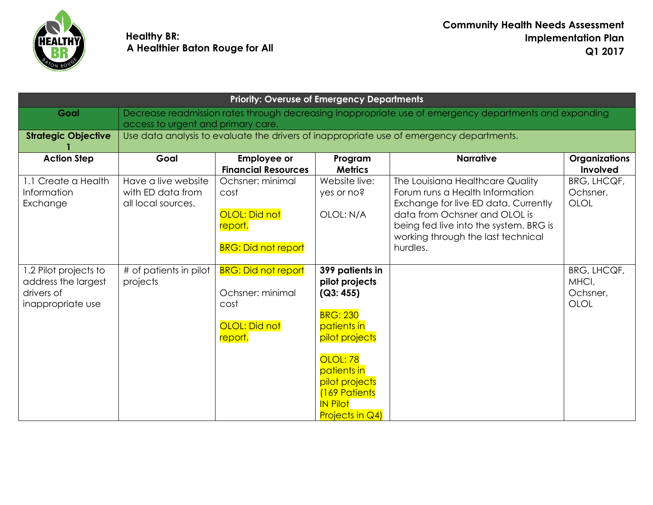

|                                                                                 | <b>Priority: Overuse of Emergency Departments</b>              |                                                                                    |                                                                                                                                                                                                                      |                                                                                                                                                                                                                                          |                                          |  |  |
|---------------------------------------------------------------------------------|----------------------------------------------------------------|------------------------------------------------------------------------------------|----------------------------------------------------------------------------------------------------------------------------------------------------------------------------------------------------------------------|------------------------------------------------------------------------------------------------------------------------------------------------------------------------------------------------------------------------------------------|------------------------------------------|--|--|
| Goal                                                                            | access to urgent and primary care.                             |                                                                                    |                                                                                                                                                                                                                      | Decrease readmission rates through decreasing inappropriate use of emergency departments and expanding                                                                                                                                   |                                          |  |  |
| <b>Strategic Objective</b>                                                      |                                                                |                                                                                    |                                                                                                                                                                                                                      | Use data analysis to evaluate the drivers of inappropriate use of emergency departments.                                                                                                                                                 |                                          |  |  |
| <b>Action Step</b>                                                              | Goal                                                           | <b>Employee or</b><br><b>Financial Resources</b>                                   | Program<br><b>Metrics</b>                                                                                                                                                                                            | <b>Narrative</b>                                                                                                                                                                                                                         | <b>Organizations</b><br>Involved         |  |  |
| 1.1 Create a Health<br>Information<br>Exchange                                  | Have a live website<br>with ED data from<br>all local sources. | Ochsner: minimal<br>cost<br>OLOL: Did not<br>report.<br><b>BRG: Did not report</b> | Website live:<br>yes or no?<br>OLOL: N/A                                                                                                                                                                             | The Louisiana Healthcare Quality<br>Forum runs a Health Information<br>Exchange for live ED data. Currently<br>data from Ochsner and OLOL is<br>being fed live into the system. BRG is<br>working through the last technical<br>hurdles. | <b>BRG, LHCQF,</b><br>Ochsner,<br>OLOL   |  |  |
| 1.2 Pilot projects to<br>address the largest<br>drivers of<br>inappropriate use | # of patients in pilot<br>projects                             | <b>BRG: Did not report</b><br>Ochsner: minimal<br>cost<br>OLOL: Did not<br>report. | 399 patients in<br>pilot projects<br>(Q3: 455)<br><b>BRG: 230</b><br>patients in<br>pilot projects<br><b>OLOL: 78</b><br>patients in<br>pilot projects<br>(169 Patients<br><b>IN Pilot</b><br><b>Projects in Q4)</b> |                                                                                                                                                                                                                                          | BRG, LHCQF,<br>MHCI,<br>Ochsner,<br>OLOL |  |  |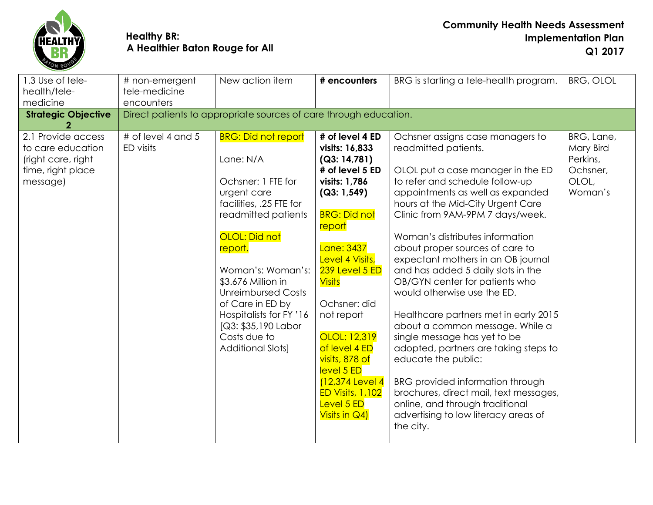

| 1.3 Use of tele-<br>health/tele-<br>medicine                                                   | # non-emergent<br>tele-medicine<br>encounters | New action item                                                                                                                                                                                                                                                                                                                                      | # encounters                                                                                                                                                                                                                                                                                                                                                                           | BRG is starting a tele-health program.                                                                                                                                                                                                                                                                                                                                                                                                                                                                                                                                                                                                                                                                                                                                                                             | <b>BRG, OLOL</b>                                                    |
|------------------------------------------------------------------------------------------------|-----------------------------------------------|------------------------------------------------------------------------------------------------------------------------------------------------------------------------------------------------------------------------------------------------------------------------------------------------------------------------------------------------------|----------------------------------------------------------------------------------------------------------------------------------------------------------------------------------------------------------------------------------------------------------------------------------------------------------------------------------------------------------------------------------------|--------------------------------------------------------------------------------------------------------------------------------------------------------------------------------------------------------------------------------------------------------------------------------------------------------------------------------------------------------------------------------------------------------------------------------------------------------------------------------------------------------------------------------------------------------------------------------------------------------------------------------------------------------------------------------------------------------------------------------------------------------------------------------------------------------------------|---------------------------------------------------------------------|
| <b>Strategic Objective</b>                                                                     |                                               | Direct patients to appropriate sources of care through education.                                                                                                                                                                                                                                                                                    |                                                                                                                                                                                                                                                                                                                                                                                        |                                                                                                                                                                                                                                                                                                                                                                                                                                                                                                                                                                                                                                                                                                                                                                                                                    |                                                                     |
| 2.1 Provide access<br>to care education<br>(right care, right<br>time, right place<br>message) | # of level 4 and 5<br>ED visits               | <b>BRG: Did not report</b><br>Lane: N/A<br>Ochsner: 1 FTE for<br>urgent care<br>facilities, .25 FTE for<br>readmitted patients<br>OLOL: Did not<br>report.<br>Woman's: Woman's:<br>\$3.676 Million in<br><b>Unreimbursed Costs</b><br>of Care in ED by<br>Hospitalists for FY '16<br>[Q3: \$35,190 Labor<br>Costs due to<br><b>Additional Slots]</b> | # of level 4 ED<br>visits: 16,833<br>(Q3: 14,781)<br># of level 5 ED<br>visits: 1,786<br>(Q3: 1, 549)<br><b>BRG: Did not</b><br>report<br>Lane: 3437<br>Level 4 Visits,<br>239 Level 5 ED<br><b>Visits</b><br>Ochsner: did<br>not report<br>OLOL: 12,319<br>of level 4 ED<br>visits, 878 of<br>level 5 ED<br>(12,374 Level 4<br><b>ED Visits, 1,102</b><br>Level 5 ED<br>Visits in Q4) | Ochsner assigns case managers to<br>readmitted patients.<br>OLOL put a case manager in the ED<br>to refer and schedule follow-up<br>appointments as well as expanded<br>hours at the Mid-City Urgent Care<br>Clinic from 9AM-9PM 7 days/week.<br>Woman's distributes information<br>about proper sources of care to<br>expectant mothers in an OB journal<br>and has added 5 daily slots in the<br>OB/GYN center for patients who<br>would otherwise use the ED.<br>Healthcare partners met in early 2015<br>about a common message. While a<br>single message has yet to be<br>adopted, partners are taking steps to<br>educate the public:<br>BRG provided information through<br>brochures, direct mail, text messages,<br>online, and through traditional<br>advertising to low literacy areas of<br>the city. | BRG, Lane,<br>Mary Bird<br>Perkins,<br>Ochsner,<br>OLOL,<br>Woman's |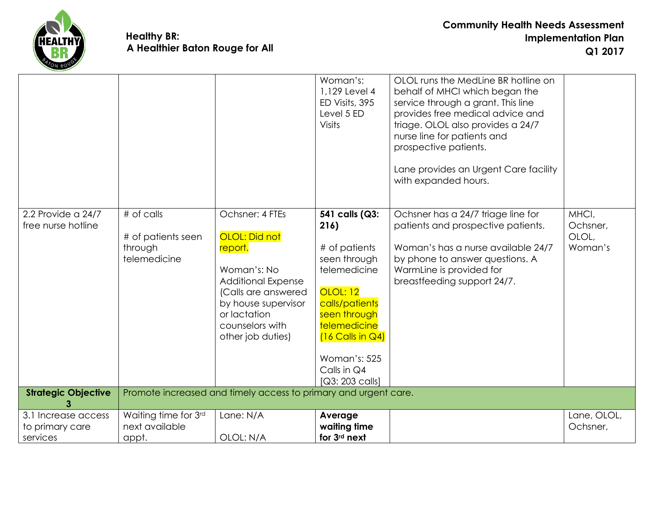

|                                                    |                                                             |                                                                                                                                                                                               | Woman's:<br>1,129 Level 4<br>ED Visits, 395<br>Level 5 ED<br><b>Visits</b>                                                                                                                                                              | OLOL runs the MedLine BR hotline on<br>behalf of MHCI which began the<br>service through a grant. This line<br>provides free medical advice and<br>triage. OLOL also provides a 24/7<br>nurse line for patients and<br>prospective patients.<br>Lane provides an Urgent Care facility<br>with expanded hours. |                                       |
|----------------------------------------------------|-------------------------------------------------------------|-----------------------------------------------------------------------------------------------------------------------------------------------------------------------------------------------|-----------------------------------------------------------------------------------------------------------------------------------------------------------------------------------------------------------------------------------------|---------------------------------------------------------------------------------------------------------------------------------------------------------------------------------------------------------------------------------------------------------------------------------------------------------------|---------------------------------------|
| 2.2 Provide a 24/7<br>free nurse hotline           | # of calls<br># of patients seen<br>through<br>telemedicine | Ochsner: 4 FTEs<br>OLOL: Did not<br>report.<br>Woman's: No<br><b>Additional Expense</b><br>(Calls are answered<br>by house supervisor<br>or lactation<br>counselors with<br>other job duties) | 541 calls (Q3:<br>216)<br># of patients<br>seen through<br>telemedicine<br><b>OLOL: 12</b><br>calls/patients<br>seen through<br>telemedicine<br>$(16$ Calls in $\mathbb{Q}(4)$<br><b>Woman's: 525</b><br>Calls in Q4<br>[Q3: 203 calls] | Ochsner has a 24/7 triage line for<br>patients and prospective patients.<br>Woman's has a nurse available 24/7<br>by phone to answer questions. A<br>WarmLine is provided for<br>breastfeeding support 24/7.                                                                                                  | MHCI,<br>Ochsner,<br>OLOL,<br>Woman's |
| <b>Strategic Objective</b><br>3                    |                                                             | Promote increased and timely access to primary and urgent care.                                                                                                                               |                                                                                                                                                                                                                                         |                                                                                                                                                                                                                                                                                                               |                                       |
| 3.1 Increase access<br>to primary care<br>services | Waiting time for 3rd<br>next available<br>appt.             | Lane: N/A<br>OLOL: N/A                                                                                                                                                                        | Average<br>waiting time<br>for 3rd next                                                                                                                                                                                                 |                                                                                                                                                                                                                                                                                                               | Lane, OLOL,<br>Ochsner,               |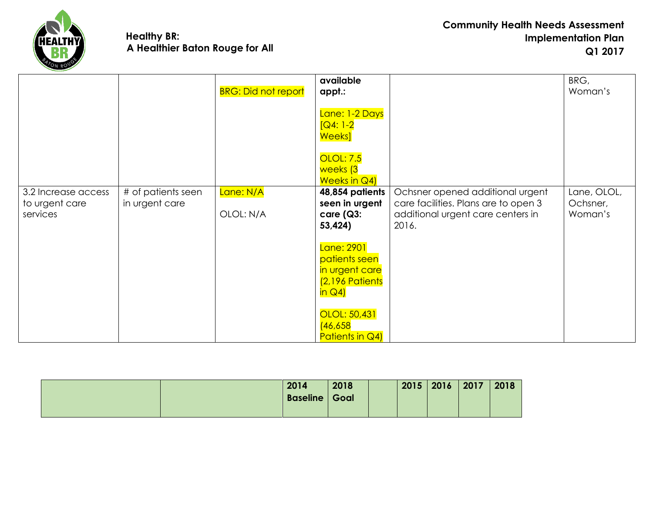

|                     |                    |                            | available                    |                                      | BRG,        |
|---------------------|--------------------|----------------------------|------------------------------|--------------------------------------|-------------|
|                     |                    | <b>BRG: Did not report</b> | appt.:                       |                                      | Woman's     |
|                     |                    |                            |                              |                                      |             |
|                     |                    |                            |                              |                                      |             |
|                     |                    |                            | Lane: 1-2 Days               |                                      |             |
|                     |                    |                            | $[Q4:1-2]$                   |                                      |             |
|                     |                    |                            | Weeks]                       |                                      |             |
|                     |                    |                            |                              |                                      |             |
|                     |                    |                            | <b>OLOL: 7.5</b>             |                                      |             |
|                     |                    |                            |                              |                                      |             |
|                     |                    |                            | weeks (3                     |                                      |             |
|                     |                    |                            | Weeks in Q4)                 |                                      |             |
| 3.2 Increase access | # of patients seen | Lane: N/A                  | 48,854 patients              | Ochsner opened additional urgent     | Lane, OLOL, |
| to urgent care      | in urgent care     |                            | seen in urgent               | care facilities. Plans are to open 3 | Ochsner,    |
| services            |                    | OLOL: N/A                  | care (Q3)                    | additional urgent care centers in    | Woman's     |
|                     |                    |                            | 53,424)                      | 2016.                                |             |
|                     |                    |                            |                              |                                      |             |
|                     |                    |                            |                              |                                      |             |
|                     |                    |                            | Lane: 2901                   |                                      |             |
|                     |                    |                            | patients seen                |                                      |             |
|                     |                    |                            | in urgent care               |                                      |             |
|                     |                    |                            | (2,196 Patients              |                                      |             |
|                     |                    |                            |                              |                                      |             |
|                     |                    |                            | $\overline{\ln \mathsf{Q4}}$ |                                      |             |
|                     |                    |                            |                              |                                      |             |
|                     |                    |                            | OLOL: 50,431                 |                                      |             |
|                     |                    |                            | (46, 658)                    |                                      |             |
|                     |                    |                            | Patients in Q4)              |                                      |             |

|  | 2014<br><b>Baseline   Goal</b> | 2018 | $2015$ 2016 | 2017 | 2018 |
|--|--------------------------------|------|-------------|------|------|
|  |                                |      |             |      |      |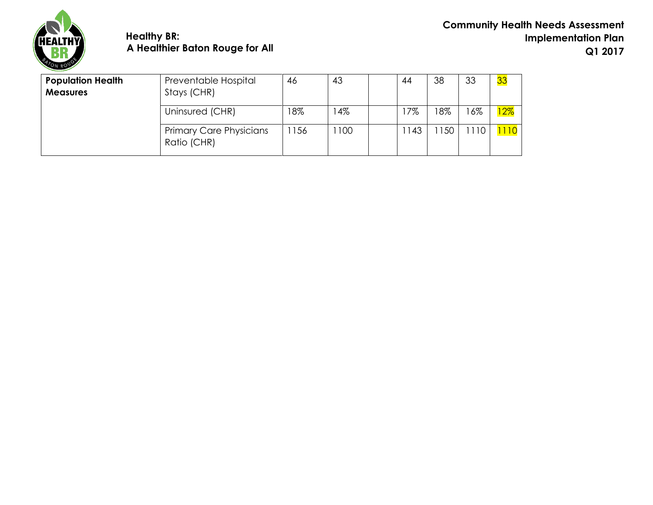

| <b>Population Health</b><br><b>Measures</b> | Preventable Hospital<br>Stays (CHR)           | 46  | 43  | 44  | 38    | 33    | <mark>33</mark> |
|---------------------------------------------|-----------------------------------------------|-----|-----|-----|-------|-------|-----------------|
|                                             | Uninsured (CHR)                               | 18% | 4%  | 17% | $8\%$ | $6\%$ | 12%             |
|                                             | <b>Primary Care Physicians</b><br>Ratio (CHR) | 156 | 100 | 143 | 50    | -10   | 10              |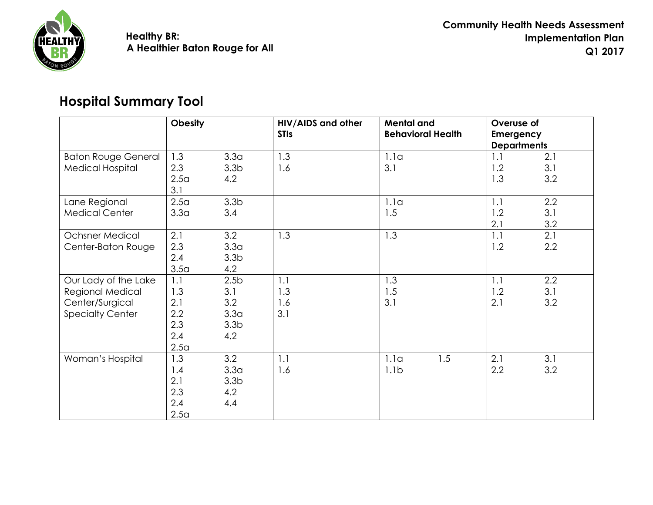

# **Hospital Summary Tool**

|                            | Obesity          |                  | HIV/AIDS and other<br><b>STIs</b> | <b>Mental and</b><br><b>Behavioral Health</b> | Overuse of<br><b>Emergency</b><br><b>Departments</b> |
|----------------------------|------------------|------------------|-----------------------------------|-----------------------------------------------|------------------------------------------------------|
| <b>Baton Rouge General</b> | 1.3              | 3.3 <sub>a</sub> | 1.3                               | 1.1 <sub>a</sub>                              | 2.1<br>1.1                                           |
| <b>Medical Hospital</b>    | 2.3              | 3.3 <sub>b</sub> | 1.6                               | 3.1                                           | 1.2<br>3.1                                           |
|                            | 2.5 <sub>a</sub> | 4.2              |                                   |                                               | 1.3<br>3.2                                           |
|                            | 3.1              |                  |                                   |                                               |                                                      |
| Lane Regional              | 2.5 <sub>a</sub> | 3.3 <sub>b</sub> |                                   | 1.1 <sub>a</sub>                              | 2.2<br>1.1                                           |
| <b>Medical Center</b>      | 3.3 <sub>a</sub> | 3.4              |                                   | 1.5                                           | 1.2<br>3.1                                           |
|                            |                  |                  |                                   |                                               | 2.1<br>3.2                                           |
| <b>Ochsner Medical</b>     | 2.1              | 3.2              | 1.3                               | 1.3                                           | 1.1<br>2.1                                           |
| Center-Baton Rouge         | 2.3              | 3.3 <sub>a</sub> |                                   |                                               | 2.2<br>1.2                                           |
|                            | 2.4              | 3.3 <sub>b</sub> |                                   |                                               |                                                      |
|                            | 3.5 <sub>a</sub> | 4.2              |                                   |                                               |                                                      |
| Our Lady of the Lake       | 1.1              | 2.5 <sub>b</sub> | 1.1                               | 1.3                                           | 2.2<br>1.1                                           |
| Regional Medical           | 1.3              | 3.1              | 1.3                               | 1.5                                           | 1.2<br>3.1                                           |
| Center/Surgical            | 2.1              | 3.2              | 1.6                               | 3.1                                           | 2.1<br>3.2                                           |
| <b>Specialty Center</b>    | 2.2              | 3.3 <sub>a</sub> | 3.1                               |                                               |                                                      |
|                            | 2.3              | 3.3 <sub>b</sub> |                                   |                                               |                                                      |
|                            | 2.4              | 4.2              |                                   |                                               |                                                      |
|                            | 2.5 <sub>a</sub> |                  |                                   |                                               |                                                      |
| Woman's Hospital           | 1.3              | 3.2              | 1.1                               | 1.5<br>1.1 <sub>a</sub>                       | 2.1<br>3.1                                           |
|                            | 1.4              | 3.3 <sub>a</sub> | 1.6                               | 1.1 <sub>b</sub>                              | 2.2<br>3.2                                           |
|                            | 2.1              | 3.3 <sub>b</sub> |                                   |                                               |                                                      |
|                            | 2.3              | 4.2              |                                   |                                               |                                                      |
|                            | 2.4              | 4.4              |                                   |                                               |                                                      |
|                            | 2.5 <sub>a</sub> |                  |                                   |                                               |                                                      |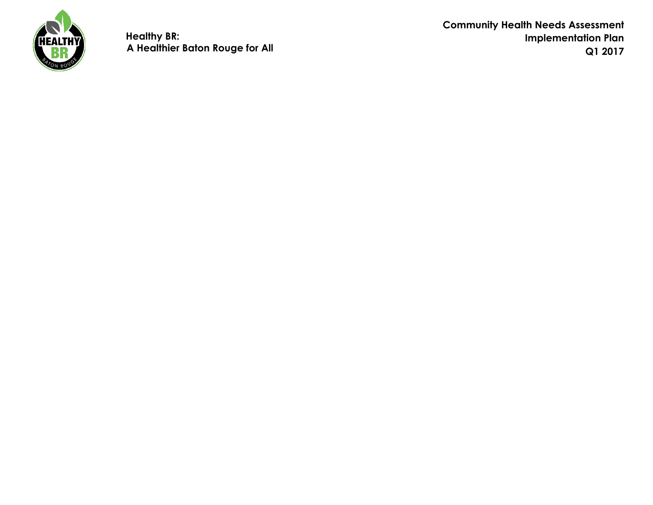

**Community Health Needs Assessment Implementation Plan Q1 2017**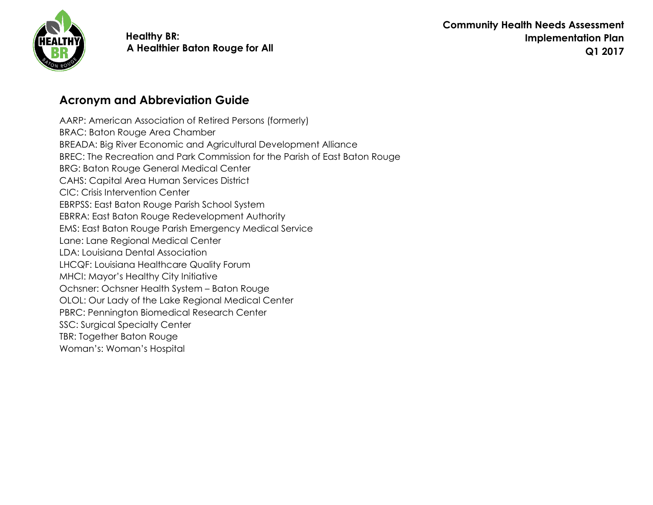

# **Acronym and Abbreviation Guide**

AARP: American Association of Retired Persons (formerly) BRAC: Baton Rouge Area Chamber BREADA: Big River Economic and Agricultural Development Alliance BREC: The Recreation and Park Commission for the Parish of East Baton Rouge BRG: Baton Rouge General Medical Center CAHS: Capital Area Human Services District CIC: Crisis Intervention Center EBRPSS: East Baton Rouge Parish School System EBRRA: East Baton Rouge Redevelopment Authority EMS: East Baton Rouge Parish Emergency Medical Service Lane: Lane Regional Medical Center LDA: Louisiana Dental Association LHCQF: Louisiana Healthcare Quality Forum MHCI: Mayor's Healthy City Initiative Ochsner: Ochsner Health System – Baton Rouge OLOL: Our Lady of the Lake Regional Medical Center PBRC: Pennington Biomedical Research Center SSC: Surgical Specialty Center TBR: Together Baton Rouge Woman's: Woman's Hospital